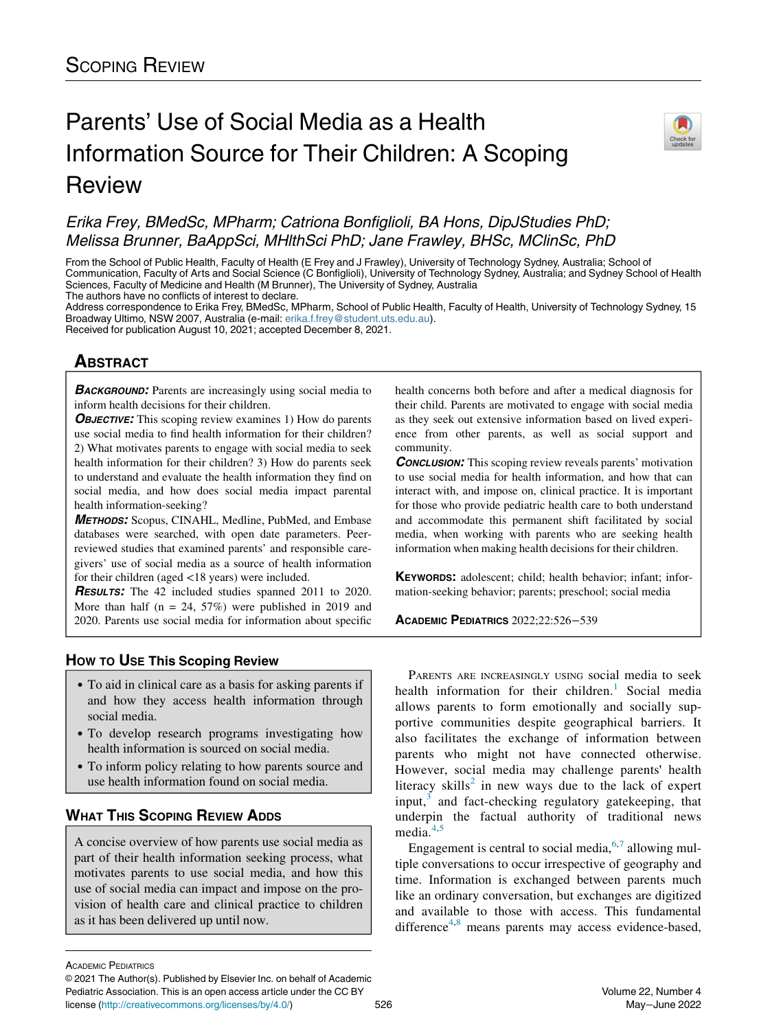# Parents' Use of Social Media as a Health Information Source for Their Children: A Scoping Review



## Erika Frey, BMedSc, MPharm; Catriona Bonfiglioli, BA Hons, DipJStudies PhD; Melissa Brunner, BaAppSci, MHlthSci PhD; Jane Frawley, BHSc, MClinSc, PhD

From the School of Public Health, Faculty of Health (E Frey and J Frawley), University of Technology Sydney, Australia; School of Communication, Faculty of Arts and Social Science (C Bonfiglioli), University of Technology Sydney, Australia; and Sydney School of Health Sciences, Faculty of Medicine and Health (M Brunner), The University of Sydney, Australia The authors have no conflicts of interest to declare.

Address correspondence to Erika Frey, BMedSc, MPharm, School of Public Health, Faculty of Health, University of Technology Sydney, 15 Broadway Ultimo, NSW 2007, Australia (e-mail: [erika.f.frey@student.uts.edu.au\)](mailto:erika.f.frey@student.uts.edu.au).

Received for publication August 10, 2021; accepted December 8, 2021.

## **ABSTRACT** <u>ABSOLUTE</u>

**BACKGROUND:** Parents are increasingly using social media to inform health decisions for their children.

**OBJECTIVE:** This scoping review examines 1) How do parents use social media to find health information for their children? 2) What motivates parents to engage with social media to seek health information for their children? 3) How do parents seek to understand and evaluate the health information they find on social media, and how does social media impact parental health information-seeking?

METHODS: Scopus, CINAHL, Medline, PubMed, and Embase databases were searched, with open date parameters. Peerreviewed studies that examined parents' and responsible caregivers' use of social media as a source of health information for their children (aged <18 years) were included.

**RESULTS:** The 42 included studies spanned 2011 to 2020. More than half  $(n = 24, 57%)$  were published in 2019 and 2020. Parents use social media for information about specific

- How to use the state of the state of the state of the state of the state of the state of the state of the state of the state of the state of the state of the state of the state of the state of the state of the state of the To aid in clinical care as a basis for asking parents if and how they access health information through social media.
	- To develop research programs investigating how health information is sourced on social media.
	- To inform policy relating to how parents source and use health information found on social media.

## **WHAT THIS SCOPING REVIEW ADDS** WHAT THIS SCOPING REVIEW ADDITION

A concise overview of how parents use social media as part of their health information seeking process, what motivates parents to use social media, and how this use of social media can impact and impose on the provision of health care and clinical practice to children as it has been delivered up until now.

health concerns both before and after a medical diagnosis for their child. Parents are motivated to engage with social media as they seek out extensive information based on lived experience from other parents, as well as social support and community.

**CONCLUSION:** This scoping review reveals parents' motivation to use social media for health information, and how that can interact with, and impose on, clinical practice. It is important for those who provide pediatric health care to both understand and accommodate this permanent shift facilitated by social media, when working with parents who are seeking health information when making health decisions for their children.

KEYWORDS: adolescent; child; health behavior; infant; information-seeking behavior; parents; preschool; social media

ACADEMIC PEDIATRICS 2022;22:526−<sup>539</sup>

PARENTS ARE INCREASINGLY USING social media to seek health information for their children.<sup>[1](#page-11-0)</sup> Social media allows parents to form emotionally and socially supportive communities despite geographical barriers. It also facilitates the exchange of information between parents who might not have connected otherwise. However, social media may challenge parents' health literacy skills<sup>[2](#page-11-1)</sup> in new ways due to the lack of expert input, $3$  and fact-checking regulatory gate keeping, that underpin the factual authority of traditional news media<sup>[4,](#page-11-3)[5](#page-11-4)</sup>

Engagement is central to social media,  $6,7$  $6,7$  allowing multiple conversations to occur irrespective of geography and time. Information is exchanged between parents much like an ordinary conversation, but exchanges are digitized and available to those with access. This fundamental difference<sup>[4,](#page-11-3)[8](#page-11-7)</sup> means parents may access evidence-based,

ACADEMIC PEDIATRICS

<sup>©</sup> 2021 The Author(s). Published by Elsevier Inc. on behalf of Academic Pediatric Association. This is an open access article under the CC BY license [\(http://creativecommons.org/licenses/by/4.0/](http://creativecommons.org/licenses/by/4.0/)) 526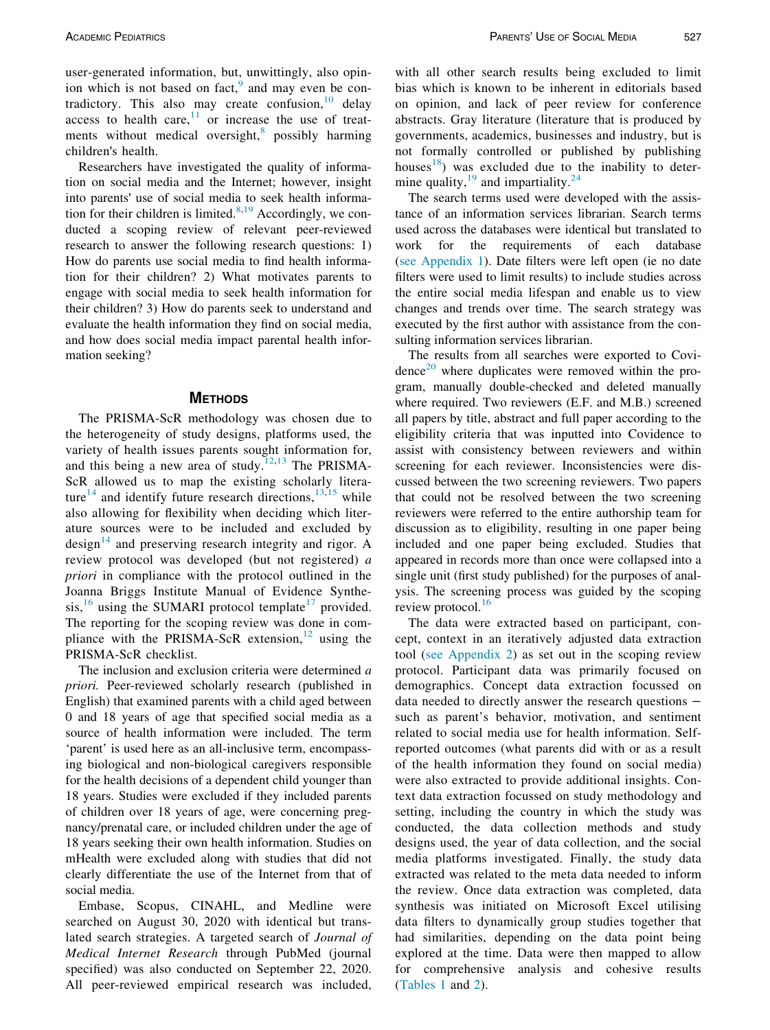user-generated information, but, unwittingly, also opin-ion which is not based on fact,<sup>[9](#page-11-8)</sup> and may even be contradictory. This also may create confusion, $10$  delay access to health care, $11$  or increase the use of treatments without medical oversight, $\frac{8}{3}$  $\frac{8}{3}$  $\frac{8}{3}$  possibly harming children's health.

Researchers have investigated the quality of information on social media and the Internet; however, insight into parents' use of social media to seek health information for their children is limited. $8,19$  $8,19$  Accordingly, we conducted a scoping review of relevant peer-reviewed research to answer the following research questions: 1) How do parents use social media to find health information for their children? 2) What motivates parents to engage with social media to seek health information for their children? 3) How do parents seek to understand and evaluate the health information they find on social media, and how does social media impact parental health information seeking?

### **METHODS**

The PRISMA-ScR methodology was chosen due to the heterogeneity of study designs, platforms used, the variety of health issues parents sought information for, and this being a new area of study.<sup>[12](#page-11-12)[,13](#page-11-13)</sup> The PRISMA-ScR allowed us to map the existing scholarly litera-ture<sup>[14](#page-11-14)</sup> and identify future research directions, $13,15$  $13,15$  while also allowing for flexibility when deciding which literature sources were to be included and excluded by design $^{14}$  $^{14}$  $^{14}$  and preserving research integrity and rigor. A review protocol was developed (but not registered) a priori in compliance with the protocol outlined in the Joanna Briggs Institute Manual of Evidence Synthesis, $16$  using the SUMARI protocol template<sup>[17](#page-11-17)</sup> provided. The reporting for the scoping review was done in compliance with the PRISMA-ScR extension,  $12$  using the PRISMA-ScR checklist.

The inclusion and exclusion criteria were determined a priori. Peer-reviewed scholarly research (published in English) that examined parents with a child aged between 0 and 18 years of age that specified social media as a source of health information were included. The term 'parent' is used here as an all-inclusive term, encompassing biological and non-biological caregivers responsible for the health decisions of a dependent child younger than 18 years. Studies were excluded if they included parents of children over 18 years of age, were concerning pregnancy/prenatal care, or included children under the age of 18 years seeking their own health information. Studies on mHealth were excluded along with studies that did not clearly differentiate the use of the Internet from that of social media.

Embase, Scopus, CINAHL, and Medline were searched on August 30, 2020 with identical but translated search strategies. A targeted search of Journal of Medical Internet Research through PubMed (journal specified) was also conducted on September 22, 2020. All peer-reviewed empirical research was included,

with all other search results being excluded to limit bias which is known to be inherent in editorials based on opinion, and lack of peer review for conference abstracts. Gray literature (literature that is produced by governments, academics, businesses and industry, but is not formally controlled or published by publishing houses<sup>18</sup>) was excluded due to the inability to determine quality,  $19$  and impartiality.  $24$ 

The search terms used were developed with the assistance of an information services librarian. Search terms used across the databases were identical but translated to work for the requirements of each database ([see Appendix 1\)](#page-11-19). Date filters were left open (ie no date filters were used to limit results) to include studies across the entire social media lifespan and enable us to view changes and trends over time. The search strategy was executed by the first author with assistance from the consulting information services librarian.

The results from all searches were exported to Covi-dence<sup>[20](#page-12-1)</sup> where duplicates were removed within the program, manually double-checked and deleted manually where required. Two reviewers (E.F. and M.B.) screened all papers by title, abstract and full paper according to the eligibility criteria that was inputted into Covidence to assist with consistency between reviewers and within screening for each reviewer. Inconsistencies were discussed between the two screening reviewers. Two papers that could not be resolved between the two screening reviewers were referred to the entire authorship team for discussion as to eligibility, resulting in one paper being included and one paper being excluded. Studies that appeared in records more than once were collapsed into a single unit (first study published) for the purposes of analysis. The screening process was guided by the scoping review protocol.<sup>[16](#page-11-16)</sup>

The data were extracted based on participant, concept, context in an iteratively adjusted data extraction tool ([see Appendix 2\)](#page-11-19) as set out in the scoping review protocol. Participant data was primarily focused on demographics. Concept data extraction focussed on data needed to directly answer the research questions − such as parent's behavior, motivation, and sentiment related to social media use for health information. Selfreported outcomes (what parents did with or as a result of the health information they found on social media) were also extracted to provide additional insights. Context data extraction focussed on study methodology and setting, including the country in which the study was conducted, the data collection methods and study designs used, the year of data collection, and the social media platforms investigated. Finally, the study data extracted was related to the meta data needed to inform the review. Once data extraction was completed, data synthesis was initiated on Microsoft Excel utilising data filters to dynamically group studies together that had similarities, depending on the data point being explored at the time. Data were then mapped to allow for comprehensive analysis and cohesive results ([Tables 1](#page-2-0) and [2](#page-6-0)).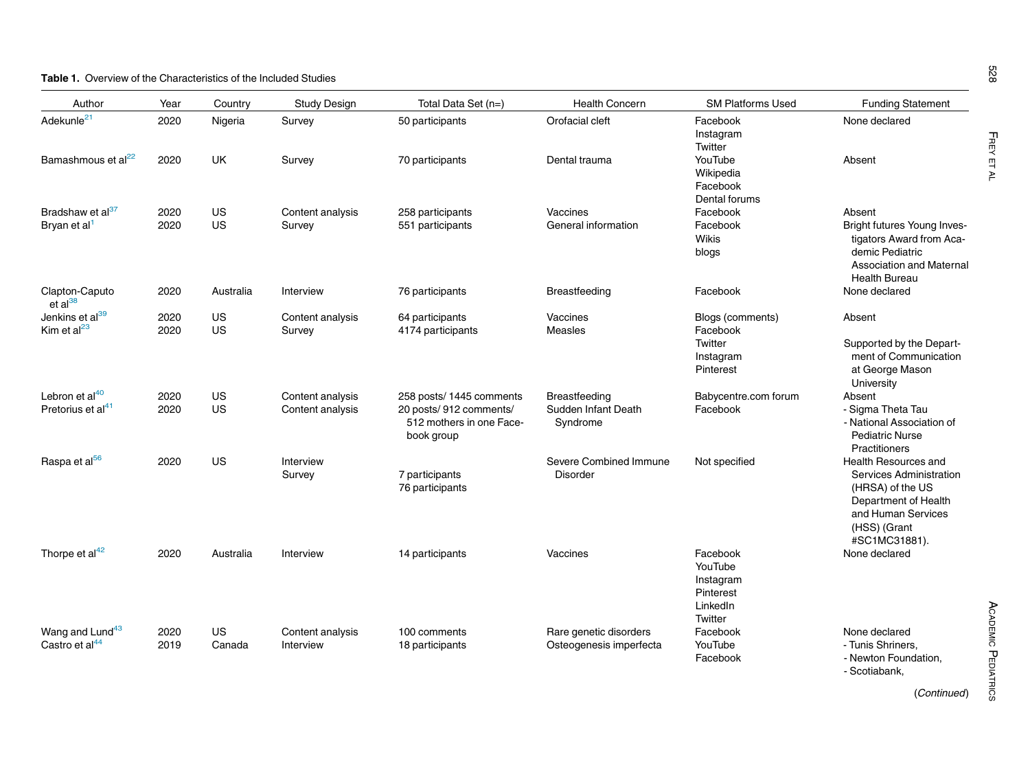### <span id="page-2-0"></span>Table 1. Overview of the Characteristics of the Included Studies

| Author                                                      | Year         | Country      | <b>Study Design</b>                  | Total Data Set (n=)                                                                         | <b>Health Concern</b>                                   | <b>SM Platforms Used</b>                                             | <b>Funding Statement</b>                                                                                                                                  |
|-------------------------------------------------------------|--------------|--------------|--------------------------------------|---------------------------------------------------------------------------------------------|---------------------------------------------------------|----------------------------------------------------------------------|-----------------------------------------------------------------------------------------------------------------------------------------------------------|
| Adekunle <sup>21</sup>                                      | 2020         | Nigeria      | Survey                               | 50 participants                                                                             | Orofacial cleft                                         | Facebook<br>Instagram<br>Twitter                                     | None declared                                                                                                                                             |
| Bamashmous et al <sup>22</sup>                              | 2020         | UK           | Survey                               | 70 participants                                                                             | Dental trauma                                           | YouTube<br>Wikipedia<br>Facebook<br>Dental forums                    | Absent                                                                                                                                                    |
| Bradshaw et al <sup>37</sup>                                | 2020         | US           | Content analysis                     | 258 participants                                                                            | Vaccines                                                | Facebook                                                             | Absent                                                                                                                                                    |
| Bryan et al <sup>1</sup>                                    | 2020         | US           | Survey                               | 551 participants                                                                            | General information                                     | Facebook<br>Wikis<br>blogs                                           | Bright futures Young Inves-<br>tigators Award from Aca-<br>demic Pediatric<br><b>Association and Maternal</b><br><b>Health Bureau</b>                     |
| Clapton-Caputo<br>et al <sup>38</sup>                       | 2020         | Australia    | Interview                            | 76 participants                                                                             | Breastfeeding                                           | Facebook                                                             | None declared                                                                                                                                             |
| Jenkins et al <sup>39</sup><br>Kim et al $^{23}$            | 2020<br>2020 | US<br>US     | Content analysis<br>Survey           | 64 participants<br>4174 participants                                                        | Vaccines<br>Measles                                     | Blogs (comments)<br>Facebook                                         | Absent                                                                                                                                                    |
|                                                             |              |              |                                      |                                                                                             |                                                         | Twitter<br>Instagram<br>Pinterest                                    | Supported by the Depart-<br>ment of Communication<br>at George Mason<br>University                                                                        |
| Lebron et al <sup>40</sup><br>Pretorius et al <sup>41</sup> | 2020<br>2020 | US<br>US     | Content analysis<br>Content analysis | 258 posts/1445 comments<br>20 posts/912 comments/<br>512 mothers in one Face-<br>book group | <b>Breastfeeding</b><br>Sudden Infant Death<br>Syndrome | Babycentre.com forum<br>Facebook                                     | Absent<br>- Sigma Theta Tau<br>- National Association of<br><b>Pediatric Nurse</b><br>Practitioners                                                       |
| Raspa et al <sup>56</sup>                                   | 2020         | US           | Interview<br>Survey                  | 7 participants<br>76 participants                                                           | Severe Combined Immune<br><b>Disorder</b>               | Not specified                                                        | <b>Health Resources and</b><br>Services Administration<br>(HRSA) of the US<br>Department of Health<br>and Human Services<br>(HSS) (Grant<br>#SC1MC31881). |
| Thorpe et al <sup>42</sup>                                  | 2020         | Australia    | Interview                            | 14 participants                                                                             | Vaccines                                                | Facebook<br>YouTube<br>Instagram<br>Pinterest<br>LinkedIn<br>Twitter | None declared                                                                                                                                             |
| Wang and Lund <sup>43</sup><br>Castro et al <sup>44</sup>   | 2020<br>2019 | US<br>Canada | Content analysis<br>Interview        | 100 comments<br>18 participants                                                             | Rare genetic disorders<br>Osteogenesis imperfecta       | Facebook<br>YouTube<br>Facebook                                      | None declared<br>- Tunis Shriners.<br>- Newton Foundation,<br>- Scotiabank.                                                                               |

(Continued)

FREY ET AL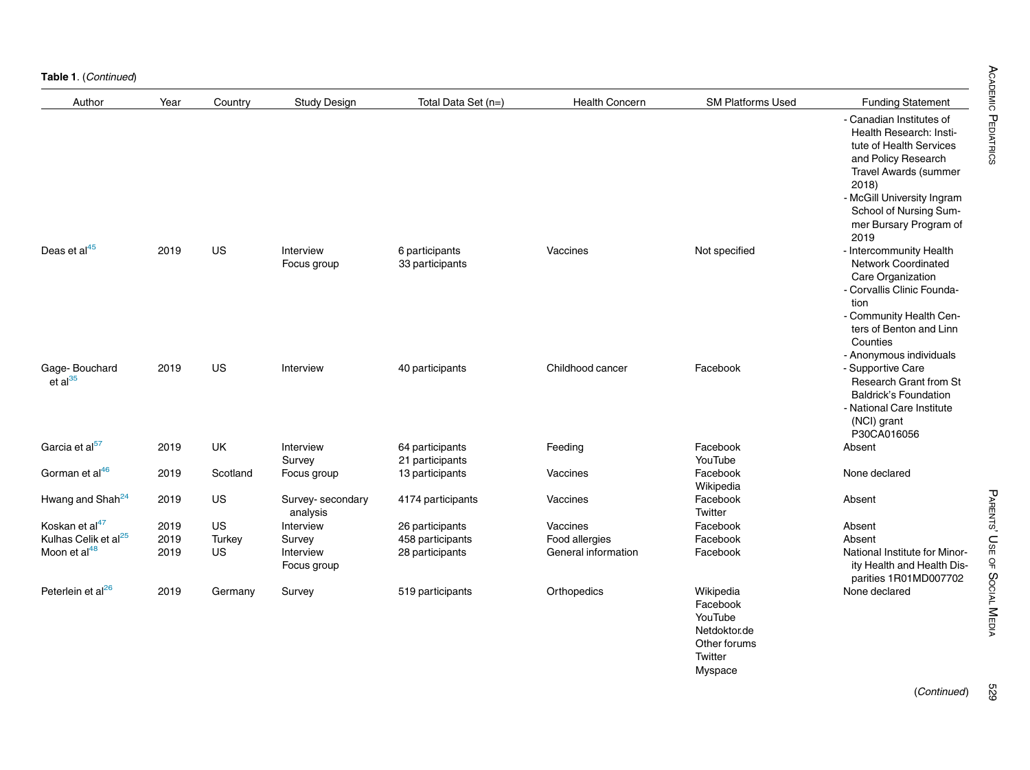Table 1. (Continued)

| Author                           | Year | Country   | <b>Study Design</b>           | Total Data Set (n=)                | <b>Health Concern</b> | <b>SM Platforms Used</b>                                                               | <b>Funding Statement</b>                                                                                                                                                                                                                 |
|----------------------------------|------|-----------|-------------------------------|------------------------------------|-----------------------|----------------------------------------------------------------------------------------|------------------------------------------------------------------------------------------------------------------------------------------------------------------------------------------------------------------------------------------|
|                                  |      |           |                               |                                    |                       |                                                                                        | - Canadian Institutes of<br>Health Research: Insti-<br>tute of Health Services<br>and Policy Research<br><b>Travel Awards (summer</b><br>2018)<br>- McGill University Ingram<br>School of Nursing Sum-<br>mer Bursary Program of<br>2019 |
| Deas et al <sup>45</sup>         | 2019 | US        | Interview<br>Focus group      | 6 participants<br>33 participants  | Vaccines              | Not specified                                                                          | - Intercommunity Health<br><b>Network Coordinated</b><br>Care Organization<br>- Corvallis Clinic Founda-<br>tion<br>- Community Health Cen-<br>ters of Benton and Linn<br>Counties<br>- Anonymous individuals                            |
| Gage-Bouchard<br>et al $^{35}$   | 2019 | US        | Interview                     | 40 participants                    | Childhood cancer      | Facebook                                                                               | - Supportive Care<br><b>Research Grant from St</b><br><b>Baldrick's Foundation</b><br>- National Care Institute<br>(NCI) grant<br>P30CA016056                                                                                            |
| Garcia et al <sup>57</sup>       | 2019 | <b>UK</b> | Interview<br>Survey           | 64 participants<br>21 participants | Feeding               | Facebook<br>YouTube                                                                    | Absent                                                                                                                                                                                                                                   |
| Gorman et al <sup>46</sup>       | 2019 | Scotland  | Focus group                   | 13 participants                    | Vaccines              | Facebook<br>Wikipedia                                                                  | None declared                                                                                                                                                                                                                            |
| Hwang and Shah <sup>24</sup>     | 2019 | US        | Survey- secondary<br>analysis | 4174 participants                  | Vaccines              | Facebook<br>Twitter                                                                    | Absent                                                                                                                                                                                                                                   |
| Koskan et al <sup>47</sup>       | 2019 | <b>US</b> | Interview                     | 26 participants                    | Vaccines              | Facebook                                                                               | Absent                                                                                                                                                                                                                                   |
| Kulhas Celik et al <sup>25</sup> | 2019 | Turkey    | Survey                        | 458 participants                   | Food allergies        | Facebook                                                                               | Absent                                                                                                                                                                                                                                   |
| Moon et al <sup>48</sup>         | 2019 | US        | Interview<br>Focus group      | 28 participants                    | General information   | Facebook                                                                               | National Institute for Minor-<br>ity Health and Health Dis-<br>parities 1R01MD007702                                                                                                                                                     |
| Peterlein et al <sup>26</sup>    | 2019 | Germany   | Survey                        | 519 participants                   | Orthopedics           | Wikipedia<br>Facebook<br>YouTube<br>Netdoktor.de<br>Other forums<br>Twitter<br>Myspace | None declared                                                                                                                                                                                                                            |

PARENTS' USE OF

SociAL

MEDIA

529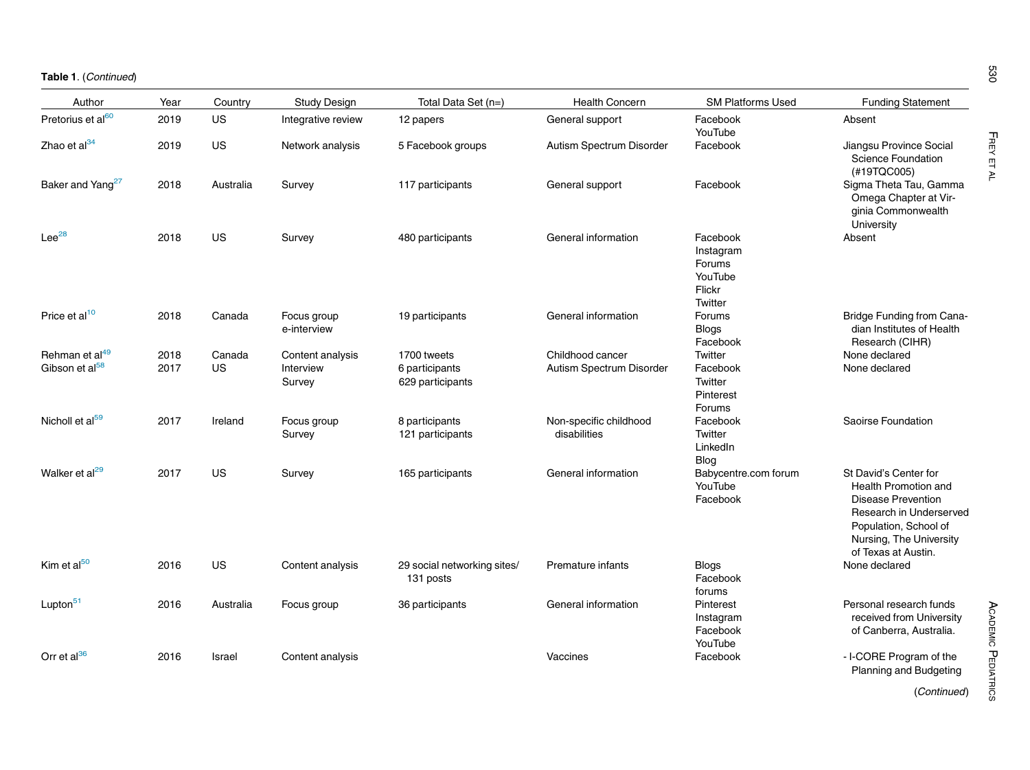| Author                                                   | Year         | Country      | <b>Study Design</b>                     | Total Data Set (n=)                               | <b>Health Concern</b>                        | <b>SM Platforms Used</b>                                        | <b>Funding Statement</b>                                                                                                                                                  |
|----------------------------------------------------------|--------------|--------------|-----------------------------------------|---------------------------------------------------|----------------------------------------------|-----------------------------------------------------------------|---------------------------------------------------------------------------------------------------------------------------------------------------------------------------|
| Pretorius et al <sup>60</sup>                            | 2019         | US           | Integrative review                      | 12 papers                                         | General support                              | Facebook<br>YouTube                                             | Absent                                                                                                                                                                    |
| Zhao et al <sup>34</sup>                                 | 2019         | US           | Network analysis                        | 5 Facebook groups                                 | Autism Spectrum Disorder                     | Facebook                                                        | Jiangsu Province Social<br><b>Science Foundation</b><br>(#19TQC005)                                                                                                       |
| Baker and Yang <sup>27</sup>                             | 2018         | Australia    | Survey                                  | 117 participants                                  | General support                              | Facebook                                                        | Sigma Theta Tau, Gamma<br>Omega Chapter at Vir-<br>ginia Commonwealth<br>University                                                                                       |
| $Lee^{28}$                                               | 2018         | US           | Survey                                  | 480 participants                                  | General information                          | Facebook<br>Instagram<br>Forums<br>YouTube<br>Flickr<br>Twitter | Absent                                                                                                                                                                    |
| Price et al <sup>10</sup>                                | 2018         | Canada       | Focus group<br>e-interview              | 19 participants                                   | General information                          | Forums<br><b>Blogs</b><br>Facebook                              | <b>Bridge Funding from Cana-</b><br>dian Institutes of Health<br>Research (CIHR)                                                                                          |
| Rehman et al <sup>49</sup><br>Gibson et al <sup>58</sup> | 2018<br>2017 | Canada<br>US | Content analysis<br>Interview<br>Survey | 1700 tweets<br>6 participants<br>629 participants | Childhood cancer<br>Autism Spectrum Disorder | Twitter<br>Facebook<br>Twitter<br>Pinterest<br>Forums           | None declared<br>None declared                                                                                                                                            |
| Nicholl et al <sup>59</sup>                              | 2017         | Ireland      | Focus group<br>Survey                   | 8 participants<br>121 participants                | Non-specific childhood<br>disabilities       | Facebook<br>Twitter<br>LinkedIn<br>Blog                         | Saoirse Foundation                                                                                                                                                        |
| Walker et al <sup>29</sup>                               | 2017         | US           | Survey                                  | 165 participants                                  | General information                          | Babycentre.com forum<br>YouTube<br>Facebook                     | St David's Center for<br>Health Promotion and<br>Disease Prevention<br>Research in Underserved<br>Population, School of<br>Nursing, The University<br>of Texas at Austin. |
| Kim et al <sup>50</sup>                                  | 2016         | US           | Content analysis                        | 29 social networking sites/<br>131 posts          | Premature infants                            | <b>Blogs</b><br>Facebook<br>forums                              | None declared                                                                                                                                                             |
| Lupton <sup>51</sup>                                     | 2016         | Australia    | Focus group                             | 36 participants                                   | General information                          | Pinterest<br>Instagram<br>Facebook<br>YouTube                   | Personal research funds<br>received from University<br>of Canberra, Australia.                                                                                            |
| Orr et al <sup>36</sup>                                  | 2016         | Israel       | Content analysis                        |                                                   | Vaccines                                     | Facebook                                                        | - I-CORE Program of the<br>Planning and Budgeting                                                                                                                         |

FREY ET AL

(Continued)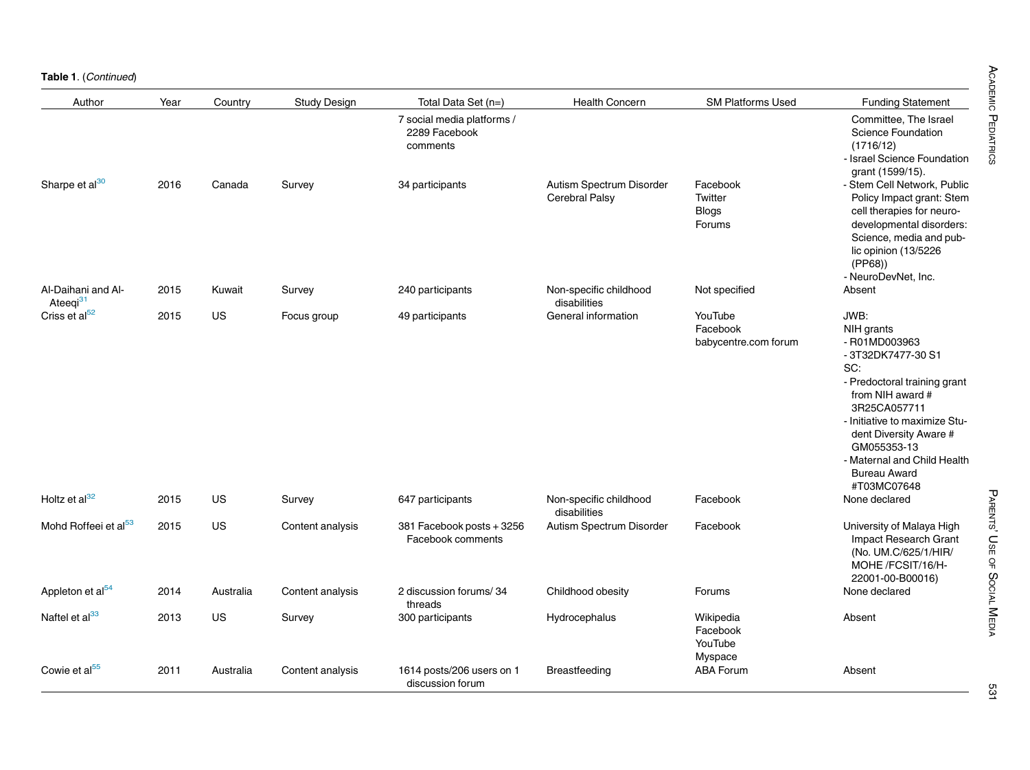Table 1. (Continued)

| Author                                     | Year | Country   | <b>Study Design</b> | Total Data Set (n=)                                     | <b>Health Concern</b>                             | <b>SM Platforms Used</b>                      | <b>Funding Statement</b>                                                                                                                                                                                                                                                            |
|--------------------------------------------|------|-----------|---------------------|---------------------------------------------------------|---------------------------------------------------|-----------------------------------------------|-------------------------------------------------------------------------------------------------------------------------------------------------------------------------------------------------------------------------------------------------------------------------------------|
|                                            |      |           |                     | 7 social media platforms /<br>2289 Facebook<br>comments |                                                   |                                               | Committee, The Israel<br><b>Science Foundation</b><br>(1716/12)<br>- Israel Science Foundation<br>grant (1599/15).                                                                                                                                                                  |
| Sharpe et al <sup>30</sup>                 | 2016 | Canada    | Survey              | 34 participants                                         | Autism Spectrum Disorder<br><b>Cerebral Palsy</b> | Facebook<br>Twitter<br><b>Blogs</b><br>Forums | - Stem Cell Network, Public<br>Policy Impact grant: Stem<br>cell therapies for neuro-<br>developmental disorders:<br>Science, media and pub-<br>lic opinion (13/5226<br>(PP68)<br>- NeuroDevNet, Inc.                                                                               |
| Al-Daihani and Al-<br>Ateeqi <sup>31</sup> | 2015 | Kuwait    | Survey              | 240 participants                                        | Non-specific childhood<br>disabilities            | Not specified                                 | Absent                                                                                                                                                                                                                                                                              |
| Criss et al <sup>52</sup>                  | 2015 | US        | Focus group         | 49 participants                                         | General information                               | YouTube<br>Facebook<br>babycentre.com forum   | JWB:<br>NIH grants<br>- R01MD003963<br>- 3T32DK7477-30 S1<br>SC:<br>- Predoctoral training grant<br>from NIH award #<br>3R25CA057711<br>- Initiative to maximize Stu-<br>dent Diversity Aware #<br>GM055353-13<br>- Maternal and Child Health<br><b>Bureau Award</b><br>#T03MC07648 |
| Holtz et al <sup>32</sup>                  | 2015 | <b>US</b> | Survey              | 647 participants                                        | Non-specific childhood<br>disabilities            | Facebook                                      | None declared                                                                                                                                                                                                                                                                       |
| Mohd Roffeei et al <sup>53</sup>           | 2015 | <b>US</b> | Content analysis    | 381 Facebook posts + 3256<br>Facebook comments          | Autism Spectrum Disorder                          | Facebook                                      | University of Malaya High<br>Impact Research Grant<br>(No. UM.C/625/1/HIR/<br>MOHE/FCSIT/16/H-<br>22001-00-B00016)                                                                                                                                                                  |
| Appleton et al <sup>54</sup>               | 2014 | Australia | Content analysis    | 2 discussion forums/34<br>threads                       | Childhood obesity                                 | Forums                                        | None declared                                                                                                                                                                                                                                                                       |
| Naftel et al <sup>33</sup>                 | 2013 | US        | Survey              | 300 participants                                        | Hydrocephalus                                     | Wikipedia<br>Facebook<br>YouTube<br>Myspace   | Absent                                                                                                                                                                                                                                                                              |
| Cowie et al <sup>55</sup>                  | 2011 | Australia | Content analysis    | 1614 posts/206 users on 1<br>discussion forum           | Breastfeeding                                     | <b>ABA Forum</b>                              | Absent                                                                                                                                                                                                                                                                              |

531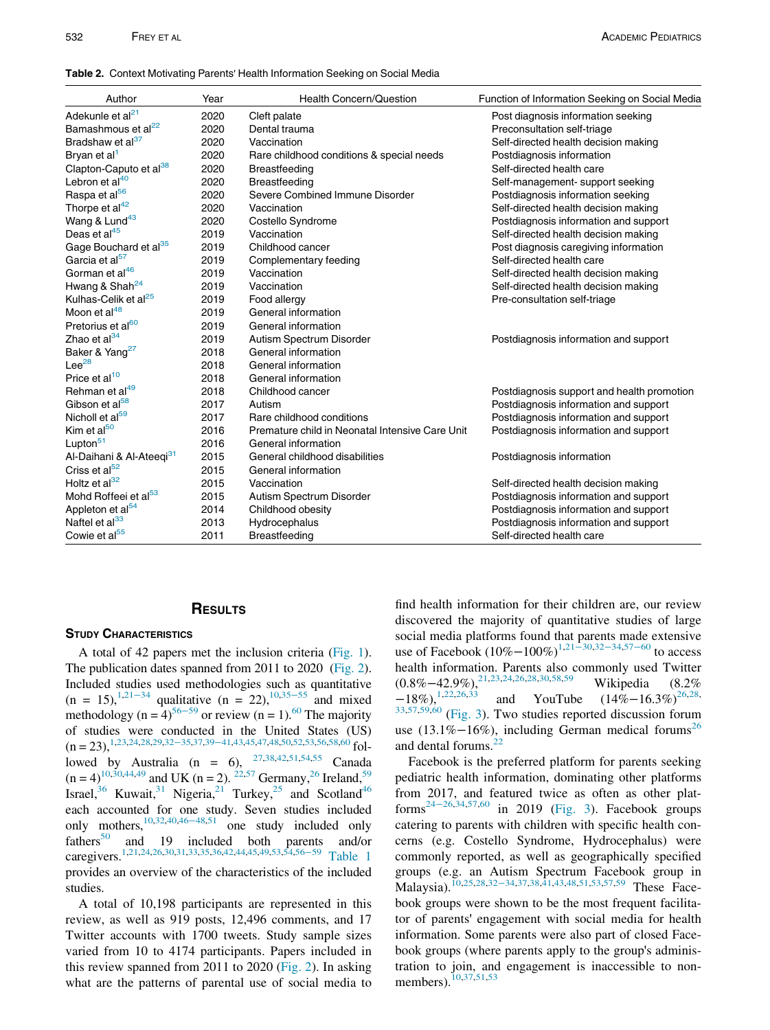### <span id="page-6-0"></span>Table 2. Context Motivating Parents' Health Information Seeking on Social Media

| Author                               | Year | Health Concern/Question                         | Function of Information Seeking on Social Media |
|--------------------------------------|------|-------------------------------------------------|-------------------------------------------------|
| Adekunle et al <sup>21</sup>         | 2020 | Cleft palate                                    | Post diagnosis information seeking              |
| Bamashmous et al <sup>22</sup>       | 2020 | Dental trauma                                   | Preconsultation self-triage                     |
| Bradshaw et al <sup>37</sup>         | 2020 | Vaccination                                     | Self-directed health decision making            |
| Bryan et al <sup>1</sup>             | 2020 | Rare childhood conditions & special needs       | Postdiagnosis information                       |
| Clapton-Caputo et al <sup>38</sup>   | 2020 | Breastfeeding                                   | Self-directed health care                       |
| Lebron et al <sup>40</sup>           | 2020 | Breastfeeding                                   | Self-management-support seeking                 |
| Raspa et al <sup>56</sup>            | 2020 | Severe Combined Immune Disorder                 | Postdiagnosis information seeking               |
| Thorpe et $al^{42}$                  | 2020 | Vaccination                                     | Self-directed health decision making            |
| Wang & Lund <sup>43</sup>            | 2020 | Costello Syndrome                               | Postdiagnosis information and support           |
| Deas et al <sup>45</sup>             | 2019 | Vaccination                                     | Self-directed health decision making            |
| Gage Bouchard et al <sup>35</sup>    | 2019 | Childhood cancer                                | Post diagnosis caregiving information           |
| Garcia et al <sup>57</sup>           | 2019 | Complementary feeding                           | Self-directed health care                       |
| Gorman et al <sup>46</sup>           | 2019 | Vaccination                                     | Self-directed health decision making            |
| Hwang & Shah <sup>24</sup>           | 2019 | Vaccination                                     | Self-directed health decision making            |
| Kulhas-Celik et al <sup>25</sup>     | 2019 | Food allergy                                    | Pre-consultation self-triage                    |
| Moon et al <sup>48</sup>             | 2019 | General information                             |                                                 |
| Pretorius et al <sup>60</sup>        | 2019 | General information                             |                                                 |
| Zhao et al <sup>34</sup>             | 2019 | Autism Spectrum Disorder                        | Postdiagnosis information and support           |
| Baker & Yang <sup>27</sup>           | 2018 | General information                             |                                                 |
| $Lee^{28}$                           | 2018 | General information                             |                                                 |
| Price et al <sup>10</sup>            | 2018 | General information                             |                                                 |
| Rehman et al <sup>49</sup>           | 2018 | Childhood cancer                                | Postdiagnosis support and health promotion      |
| Gibson et al <sup>58</sup>           | 2017 | Autism                                          | Postdiagnosis information and support           |
| Nicholl et al <sup>59</sup>          | 2017 | Rare childhood conditions                       | Postdiagnosis information and support           |
| Kim et al <sup>50</sup>              | 2016 | Premature child in Neonatal Intensive Care Unit | Postdiagnosis information and support           |
| Lupton <sup>51</sup>                 | 2016 | General information                             |                                                 |
| Al-Daihani & Al-Ateeqi <sup>31</sup> | 2015 | General childhood disabilities                  | Postdiagnosis information                       |
| Criss et al <sup>52</sup>            | 2015 | General information                             |                                                 |
| Holtz et al <sup>32</sup>            | 2015 | Vaccination                                     | Self-directed health decision making            |
| Mohd Roffeei et al <sup>53</sup>     | 2015 | Autism Spectrum Disorder                        | Postdiagnosis information and support           |
| Appleton et al <sup>54</sup>         | 2014 | Childhood obesity                               | Postdiagnosis information and support           |
| Naftel et al <sup>33</sup>           | 2013 | Hydrocephalus                                   | Postdiagnosis information and support           |
| Cowie et al <sup>55</sup>            | 2011 | <b>Breastfeeding</b>                            | Self-directed health care                       |

## **RESULTS** RESULTS

A total of 42 papers met the inclusion criteria ([Fig. 1\)](#page-7-0). The publication dates spanned from 2011 to 2020 ([Fig. 2\)](#page-7-1). Included studies used methodologies such as quantitative  $(n = 15)$ ,<sup>[1,](#page-11-0)[21](#page-12-38)−34</sup> qualitative  $(n = 22)$ ,<sup>[10,](#page-11-9)[35](#page-12-39)−55</sup> and mixed methodology (n =  $4$ )<sup>[56](#page-12-40)−59</sup> or review (n = 1).<sup>[60](#page-13-4)</sup> The majority of studies were conducted in the United States (US)  $(n = 23),^{1,23,24,28,29,32-35,37,39-41,43,45,47,48,50,52,53,56,58,60}$  $(n = 23),^{1,23,24,28,29,32-35,37,39-41,43,45,47,48,50,52,53,56,58,60}$  $(n = 23),^{1,23,24,28,29,32-35,37,39-41,43,45,47,48,50,52,53,56,58,60}$  $(n = 23),^{1,23,24,28,29,32-35,37,39-41,43,45,47,48,50,52,53,56,58,60}$  $(n = 23),^{1,23,24,28,29,32-35,37,39-41,43,45,47,48,50,52,53,56,58,60}$  $(n = 23),^{1,23,24,28,29,32-35,37,39-41,43,45,47,48,50,52,53,56,58,60}$  $(n = 23),^{1,23,24,28,29,32-35,37,39-41,43,45,47,48,50,52,53,56,58,60}$  $(n = 23),^{1,23,24,28,29,32-35,37,39-41,43,45,47,48,50,52,53,56,58,60}$  $(n = 23),^{1,23,24,28,29,32-35,37,39-41,43,45,47,48,50,52,53,56,58,60}$  $(n = 23),^{1,23,24,28,29,32-35,37,39-41,43,45,47,48,50,52,53,56,58,60}$  $(n = 23),^{1,23,24,28,29,32-35,37,39-41,43,45,47,48,50,52,53,56,58,60}$  $(n = 23),^{1,23,24,28,29,32-35,37,39-41,43,45,47,48,50,52,53,56,58,60}$  $(n = 23),^{1,23,24,28,29,32-35,37,39-41,43,45,47,48,50,52,53,56,58,60}$  $(n = 23),^{1,23,24,28,29,32-35,37,39-41,43,45,47,48,50,52,53,56,58,60}$  $(n = 23),^{1,23,24,28,29,32-35,37,39-41,43,45,47,48,50,52,53,56,58,60}$  $(n = 23),^{1,23,24,28,29,32-35,37,39-41,43,45,47,48,50,52,53,56,58,60}$  $(n = 23),^{1,23,24,28,29,32-35,37,39-41,43,45,47,48,50,52,53,56,58,60}$  $(n = 23),^{1,23,24,28,29,32-35,37,39-41,43,45,47,48,50,52,53,56,58,60}$  $(n = 23),^{1,23,24,28,29,32-35,37,39-41,43,45,47,48,50,52,53,56,58,60}$  $(n = 23),^{1,23,24,28,29,32-35,37,39-41,43,45,47,48,50,52,53,56,58,60}$  $(n = 23),^{1,23,24,28,29,32-35,37,39-41,43,45,47,48,50,52,53,56,58,60}$  $(n = 23),^{1,23,24,28,29,32-35,37,39-41,43,45,47,48,50,52,53,56,58,60}$  $(n = 23),^{1,23,24,28,29,32-35,37,39-41,43,45,47,48,50,52,53,56,58,60}$ lowed by Australia (n = 6),  $^{27,38,42,51,54,55}$  $^{27,38,42,51,54,55}$  $^{27,38,42,51,54,55}$  $^{27,38,42,51,54,55}$  $^{27,38,42,51,54,55}$  $^{27,38,42,51,54,55}$  $^{27,38,42,51,54,55}$  $^{27,38,42,51,54,55}$  Canada  $(n = 4)^{10,30,44,49}$  $(n = 4)^{10,30,44,49}$  $(n = 4)^{10,30,44,49}$  $(n = 4)^{10,30,44,49}$  $(n = 4)^{10,30,44,49}$  and UK  $(n = 2)$ . <sup>[22,](#page-12-63)[57](#page-13-6)</sup> Germany,<sup>26</sup> Ireland,<sup>59</sup> Israel,<sup>36</sup> Kuwait,<sup>31</sup> Nigeria,<sup>21</sup> Turkey,<sup>25</sup> and Scotland<sup>46</sup> each accounted for one study. Seven studies included only mothers,<sup>[10](#page-11-9),[32](#page-12-44),[40](#page-12-69)[,46](#page-12-68)–48,[51](#page-12-57)</sup> one study included only fathers<sup>50</sup> and 19 included both parents and/or and 19 included both parents and/or caregivers[.1,](#page-11-0)[21,](#page-12-38)[24](#page-12-0),[26](#page-12-64),[30](#page-12-60),[31](#page-12-66)[,33](#page-12-70)[,35](#page-12-39)[,36](#page-12-65)[,42](#page-12-56)[,44](#page-12-61)[,45](#page-12-48)[,49](#page-12-62)[,53,](#page-12-53)[54,](#page-12-58)[56](#page-12-40)−<sup>59</sup> [Table 1](#page-2-0) provides an overview of the characteristics of the included studies.

A total of 10,198 participants are represented in this review, as well as 919 posts, 12,496 comments, and 17 Twitter accounts with 1700 tweets. Study sample sizes varied from 10 to 4174 participants. Papers included in this review spanned from 2011 to 2020 [\(Fig. 2\)](#page-7-1). In asking what are the patterns of parental use of social media to

find health information for their children are, our review discovered the majority of quantitative studies of large social media platforms found that parents made extensive use of Facebook  $(10\% - 100\%)^{1,21-\frac{30,32-34,57-60}{}}$  $(10\% - 100\%)^{1,21-\frac{30,32-34,57-60}{}}$  $(10\% - 100\%)^{1,21-\frac{30,32-34,57-60}{}}$  $(10\% - 100\%)^{1,21-\frac{30,32-34,57-60}{}}$  $(10\% - 100\%)^{1,21-\frac{30,32-34,57-60}{}}$  $(10\% - 100\%)^{1,21-\frac{30,32-34,57-60}{}}$  $(10\% - 100\%)^{1,21-\frac{30,32-34,57-60}{}}$  $(10\% - 100\%)^{1,21-\frac{30,32-34,57-60}{}}$  to access health information. Parents also commonly used Twitter  $(0.8\% - 42.9\%)$ ,<sup>21,[23](#page-12-41),[24](#page-12-0)[,26](#page-12-64)[,28,](#page-12-42)[30](#page-12-60)[,58,](#page-13-5)[59](#page-13-7)</sup> Wikipedia (8.2%<br>-18%),<sup>1,22,26,33</sup> and YouTube  $(14\% - 16.3\%)^{26,28}$ and YouTube  $(14\%-16.3\%)^{26,28}$  $(14\%-16.3\%)^{26,28}$  $(14\%-16.3\%)^{26,28}$  $(14\%-16.3\%)^{26,28}$  $(14\%-16.3\%)^{26,28}$ ,  $33,57,59,60$  $33,57,59,60$  $33,57,59,60$  $33,57,59,60$  [\(Fig. 3](#page-8-0)). Two studies reported discussion forum use (13.1%–16%), including German medical forums<sup>[26](#page-12-64)</sup> and dental forums.<sup>[22](#page-12-63)</sup>

Facebook is the preferred platform for parents seeking pediatric health information, dominating other platforms from 2017, and featured twice as often as other plat-forms<sup>24-[26](#page-12-0),[34](#page-12-71)[,57,](#page-13-6)[60](#page-13-4)</sup> in 2019 ([Fig. 3\)](#page-8-0). Facebook groups catering to parents with children with specific health concerns (e.g. Costello Syndrome, Hydrocephalus) were commonly reported, as well as geographically specified groups (e.g. an Autism Spectrum Facebook group in Malaysia).<sup>[10](#page-11-9)[,25](#page-12-67)[,28,](#page-12-42)[32](#page-12-44)–34[,37,](#page-12-45)[38](#page-12-55),[41](#page-12-72)[,43,](#page-12-47)[48](#page-12-50),[51](#page-12-57)[,53,](#page-12-53)[57](#page-13-6),[59](#page-13-7)</sup> These Facebook groups were shown to be the most frequent facilitator of parents' engagement with social media for health information. Some parents were also part of closed Facebook groups (where parents apply to the group's administration to join, and engagement is inaccessible to non-members).<sup>[10](#page-11-9)[,37](#page-12-45)[,51,](#page-12-57)[53](#page-12-53)</sup>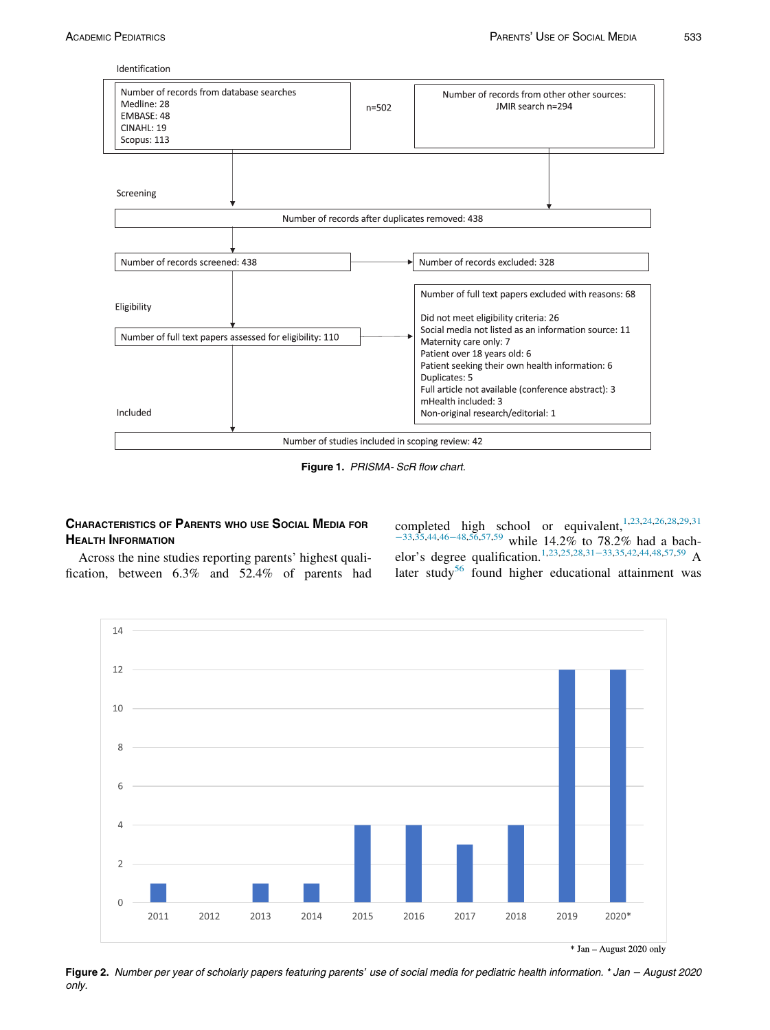Identification

<span id="page-7-0"></span>

Figure 1. PRISMA- ScR flow chart.

## **CHARACTERISTICS OF PARENTS WHO USE SOCIAL MEDIA FOR HEALTH INFORMATION**

completed high school or equivalent,<sup>[1,](#page-11-0)[23](#page-12-41)[,24](#page-12-0)[,26,](#page-12-64)[28](#page-12-42)[,29,](#page-12-43)[31](#page-12-66)</sup> <sup>−</sup>[33](#page-12-66)[,35,](#page-12-39)[44](#page-12-61),[46](#page-12-68)−48[,56,](#page-12-40)[57](#page-13-6),[59](#page-13-7) while 14.2% to 78.2% had a bach-elor's degree qualification.<sup>[1,](#page-11-0)[23](#page-12-41)[,25,](#page-12-67)[28,](#page-12-42)[31](#page-12-66)–33[,35,](#page-12-39)[42,](#page-12-56)[44](#page-12-61)[,48,](#page-12-50)[57,](#page-13-6)[59](#page-13-7)</sup> A later study<sup>[56](#page-12-40)</sup> found higher educational attainment was

<span id="page-7-1"></span>Across the nine studies reporting parents' highest qualification, between 6.3% and 52.4% of parents had



 $*$  Jan - August 2020 only

Figure 2. Number per year of scholarly papers featuring parents' use of social media for pediatric health information. \* Jan <sup>−</sup> August 2020 only.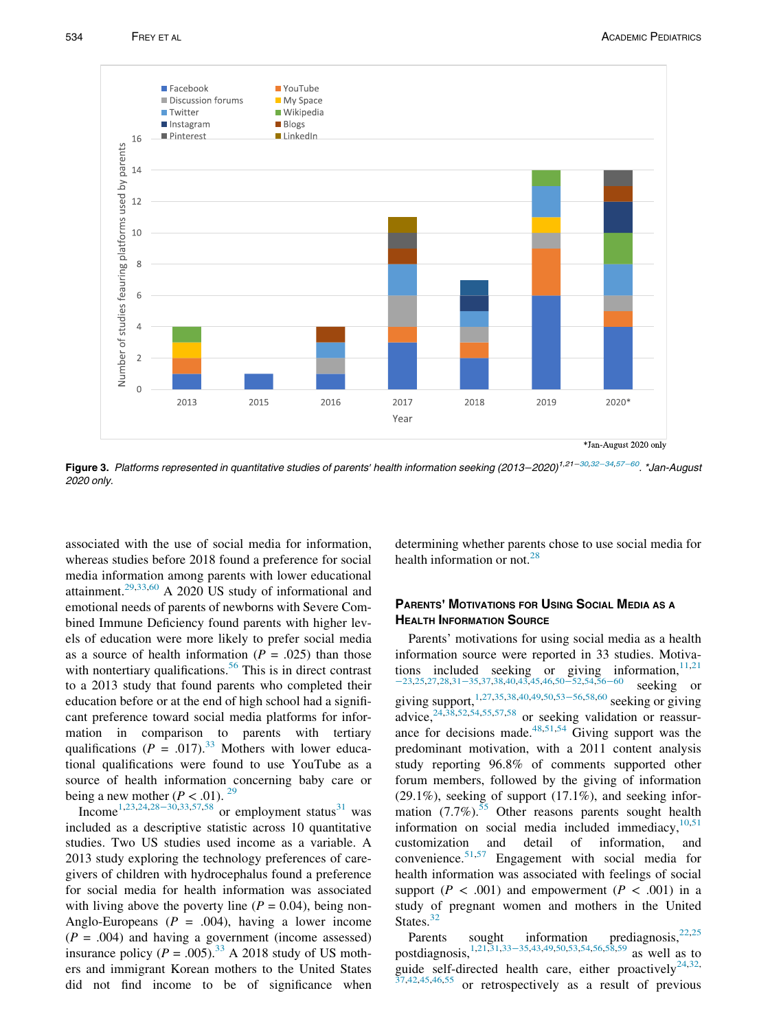<span id="page-8-0"></span>

Figure 3. Platforms represented in quantitative studies of parents' health information seeking (2013–2020)<sup>1,21–[30,](#page-12-60)32–[34](#page-12-44),57–[60](#page-13-6)</sup>. \*Jan-August 2020 only.

associated with the use of social media for information, whereas studies before 2018 found a preference for social media information among parents with lower educational attainment.[29](#page-12-43),[33](#page-12-70)[,60](#page-13-4) A 2020 US study of informational and emotional needs of parents of newborns with Severe Combined Immune Deficiency found parents with higher levels of education were more likely to prefer social media as a source of health information  $(P = .025)$  than those with nontertiary qualifications.<sup>[56](#page-12-40)</sup> This is in direct contrast to a 2013 study that found parents who completed their education before or at the end of high school had a significant preference toward social media platforms for information in comparison to parents with tertiary qualifications ( $P = .017$ ).<sup>[33](#page-12-70)</sup> Mothers with lower educational qualifications were found to use YouTube as a source of health information concerning baby care or being a new mother ( $P < .01$ ). <sup>[29](#page-12-43)</sup>

Income<sup>[1](#page-11-0)[,23,](#page-12-41)[24](#page-12-0),28–[30,](#page-12-42)[33,](#page-12-70)[57](#page-13-6)[,58](#page-13-5)</sup> or employment status<sup>[31](#page-12-66)</sup> was included as a descriptive statistic across 10 quantitative studies. Two US studies used income as a variable. A 2013 study exploring the technology preferences of caregivers of children with hydrocephalus found a preference for social media for health information was associated with living above the poverty line  $(P = 0.04)$ , being non-Anglo-Europeans ( $P = .004$ ), having a lower income  $(P = .004)$  and having a government (income assessed) insurance policy ( $P = .005$ ).<sup>33</sup> A 2018 study of US mothers and immigrant Korean mothers to the United States did not find income to be of significance when determining whether parents chose to use social media for health information or not.[28](#page-12-42)

## PARENTS' MOTIVATIONS FOR USING SOCIAL MEDIA AS A

Parents' motivations for using social media as a health information source were reported in 33 studies. Motivations included seeking or giving information,  $11,21$  $11,21$ <sup>−</sup>[23](#page-12-38)[,25,](#page-12-67)[27](#page-12-54),[28](#page-12-42)[,31](#page-12-66)−35,[37](#page-12-45),[38](#page-12-55)[,40,](#page-12-69)[43](#page-12-47),[45](#page-12-48)[,46,](#page-12-68)50−[52](#page-12-51),[54](#page-12-58)[,56](#page-12-40)−<sup>60</sup> seeking or giving support,<sup>[1](#page-11-0)[,27,](#page-12-54)[35](#page-12-39),[38](#page-12-55)[,40,](#page-12-69)[49](#page-12-62)[,50](#page-12-51)[,53](#page-12-53)–56,[58](#page-13-5),[60](#page-13-4)</sup> seeking or giving<br>advice,<sup>24,38,52,54,55,57,58</sup> or seeking validation or reasonor seeking validation or reassurance for decisions made. $48,51,54$  $48,51,54$  $48,51,54$  Giving support was the predominant motivation, with a 2011 content analysis study reporting 96.8% of comments supported other forum members, followed by the giving of information (29.1%), seeking of support (17.1%), and seeking information  $(7.7\%)$ .<sup>[55](#page-12-59)</sup> Other reasons parents sought health information on social media included immediacy,  $10,51$  $10,51$ customization and detail of information, and convenience.[51](#page-12-57)[,57](#page-13-6) Engagement with social media for health information was associated with feelings of social support ( $P < .001$ ) and empowerment ( $P < .001$ ) in a study of pregnant women and mothers in the United States. $32$ 

Parents sought information prediagnosis,  $22,25$  $22,25$ postdiagnosis,[1,](#page-11-0)[21](#page-12-38)[,31,](#page-12-66)[33](#page-12-70)−35,[43](#page-12-47)[,49,](#page-12-62)[50,](#page-12-51)[53](#page-12-53)[,54](#page-12-58)[,56,](#page-12-40)[58](#page-13-5)[,59](#page-13-7) as well as to guide self-directed health care, either proactively<sup>[24,](#page-12-0)[32](#page-12-44),</sup>  $37,42,45,46,55$  $37,42,45,46,55$  $37,42,45,46,55$  $37,42,45,46,55$  $37,42,45,46,55$  or retrospectively as a result of previous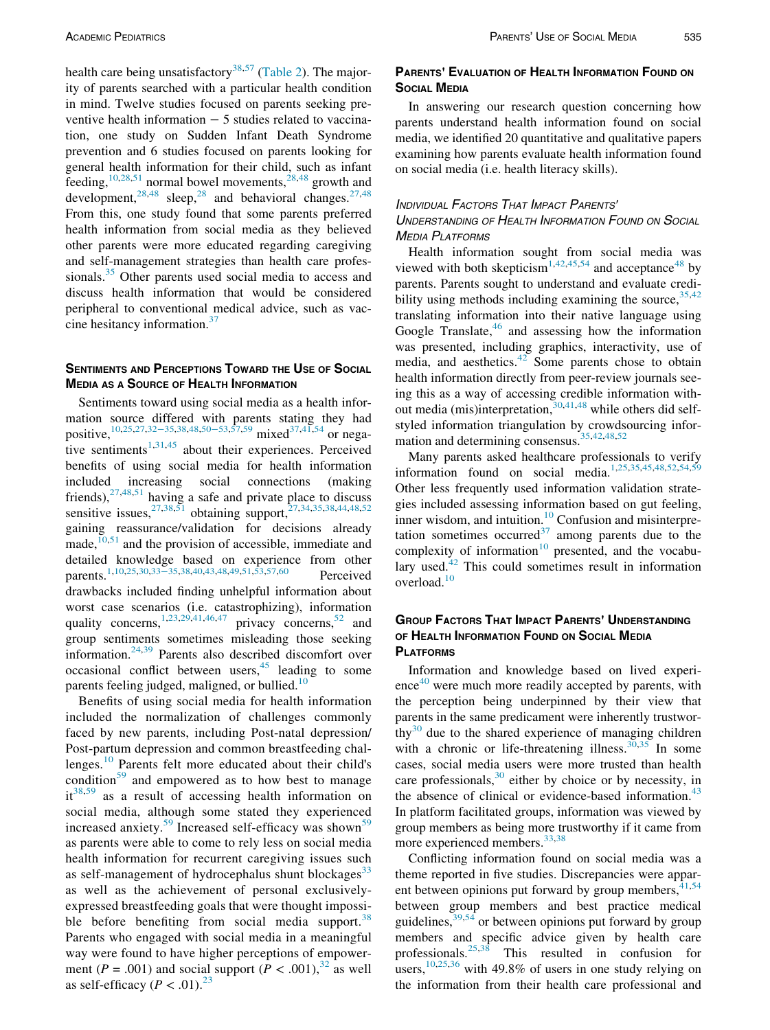health care being unsatisfactory<sup>[38](#page-12-55),[57](#page-13-6)</sup> [\(Table 2](#page-6-0)). The majority of parents searched with a particular health condition in mind. Twelve studies focused on parents seeking preventive health information − 5 studies related to vaccination, one study on Sudden Infant Death Syndrome prevention and 6 studies focused on parents looking for general health information for their child, such as infant feeding,  $10,28,51$  $10,28,51$  $10,28,51$  $10,28,51$  normal bowel movements,  $28,48$  $28,48$  growth and development,  $28,48$  $28,48$  sleep,  $28$  and behavioral changes.  $27,48$  $27,48$  $27,48$ From this, one study found that some parents preferred health information from social media as they believed other parents were more educated regarding caregiving and self-management strategies than health care professionals.<sup>35</sup> Other parents used social media to access and discuss health information that would be considered peripheral to conventional medical advice, such as vaccine hesitancy information.[37](#page-12-45)

## SENTIMENTS AND PERCEPTIONS TOWARD THE USE OF SOCIAL MEDIA AS A SOURCE OF HEALTH INFORMATION

MEDIA AS A SUBJECT TERM IN FURNITUM mation source differed with parents stating they had positive,<sup>[10](#page-11-9)[,25,](#page-12-67)[27](#page-12-54),[32](#page-12-44)–35[,38,](#page-12-55)[48](#page-12-50)[,50](#page-12-51)–53[,57,](#page-13-6)[59](#page-13-7)</sup> mixed<sup>[37,](#page-12-45)[41,](#page-12-72)[54](#page-12-58)</sup> or negative sentiments $1,31,45$  $1,31,45$  $1,31,45$  about their experiences. Perceived benefits of using social media for health information included increasing social connections (making friends),  $27,48,51$  $27,48,51$  $27,48,51$  $27,48,51$  having a safe and private place to discuss sensitive issues,  $27,38,51$  $27,38,51$  $27,38,51$  obtaining support,  $27,34,35,38,44,48,52$  $27,34,35,38,44,48,52$  $27,34,35,38,44,48,52$  $27,34,35,38,44,48,52$  $27,34,35,38,44,48,52$  $27,34,35,38,44,48,52$  $27,34,35,38,44,48,52$  $27,34,35,38,44,48,52$  $27,34,35,38,44,48,52$ gaining reassurance/validation for decisions already made, $\frac{10,51}{10,51}$  $\frac{10,51}{10,51}$  $\frac{10,51}{10,51}$  $\frac{10,51}{10,51}$  and the provision of accessible, immediate and detailed knowledge based on experience from other parents.<sup>1,[10](#page-11-9)[,25](#page-12-67)[,30,](#page-12-60)[33](#page-12-70)–35[,38](#page-12-55)[,40,](#page-12-69)[43](#page-12-47)[,48,](#page-12-50)[49,](#page-12-62)[51](#page-12-57)[,53,](#page-12-53)[57,](#page-13-6)[60](#page-13-4)</sup> Perceived drawbacks included finding unhelpful information about worst case scenarios (i.e. catastrophizing), information quality concerns,<sup>[1,](#page-11-0)[23](#page-12-41)[,29](#page-12-43)[,41,](#page-12-72)[46](#page-12-68)[,47](#page-12-49)</sup> privacy concerns,<sup>[52](#page-12-52)</sup> and group sentiments sometimes misleading those seeking information[.24,](#page-12-0)[39](#page-12-46) Parents also described discomfort over occasional conflict between users,  $45$  leading to some parents feeling judged, maligned, or bullied.<sup>[10](#page-11-9)</sup>

Benefits of using social media for health information included the normalization of challenges commonly faced by new parents, including Post-natal depression/ Post-partum depression and common breastfeeding challenges.[10](#page-11-9) Parents felt more educated about their child's condition $59$  and empowered as to how best to manage  $it^{38,59}$  $it^{38,59}$  $it^{38,59}$  $it^{38,59}$  as a result of accessing health information on social media, although some stated they experienced increased anxiety.<sup>[59](#page-13-7)</sup> Increased self-efficacy was shown<sup>59</sup> as parents were able to come to rely less on social media health information for recurrent caregiving issues such as self-management of hydrocephalus shunt blockages<sup>[33](#page-12-70)</sup> as well as the achievement of personal exclusivelyexpressed breastfeeding goals that were thought impossi-ble before benefiting from social media support.<sup>[38](#page-12-55)</sup> Parents who engaged with social media in a meaningful way were found to have higher perceptions of empowerment ( $P = .001$ ) and social support ( $P < .001$ ),<sup>[32](#page-12-44)</sup> as well as self-efficacy ( $P < .01$ ).<sup>[23](#page-12-41)</sup>

# Parents' Evaluation of Health Information Found on<br>Social Media

In answering our research question concerning how parents understand health information found on social media, we identified 20 quantitative and qualitative papers examining how parents evaluate health information found on social media (i.e. health literacy skills).

## INDIVIDUAL FACTORS THAT IMPACT PARENTS'

UNDERSTANDING OF HEALTH INFORMATION FOUND ON SOCIAL MEDIA PLATFORMS

Health information sought from social media was viewed with both skepticism<sup>[1](#page-11-0)[,42,](#page-12-56)[45,](#page-12-48)[54](#page-12-58)</sup> and acceptance<sup>[48](#page-12-50)</sup> by parents. Parents sought to understand and evaluate credibility using methods including examining the source,  $35,42$  $35,42$ translating information into their native language using Google Translate, $46$  and assessing how the information was presented, including graphics, interactivity, use of media, and aesthetics. $42$  Some parents chose to obtain health information directly from peer-review journals seeing this as a way of accessing credible information without media (mis)interpretation,  $30,41,48$  $30,41,48$  $30,41,48$  while others did selfstyled information triangulation by crowdsourcing information and determining consensus.[35](#page-12-39)[,42,](#page-12-56)[48](#page-12-50)[,52](#page-12-52)

Many parents asked healthcare professionals to verify information found on social media.[1](#page-11-0)[,25,](#page-12-67)[35](#page-12-39)[,45](#page-12-48)[,48,](#page-12-50)[52](#page-12-52)[,54,](#page-12-58)[59](#page-13-7) Other less frequently used information validation strategies included assessing information based on gut feeling, inner wisdom, and intuition.<sup>10</sup> Confusion and misinterpretation sometimes occurred $37$  among parents due to the complexity of information $10$  presented, and the vocabulary used. $42$  This could sometimes result in information overload.<sup>[10](#page-11-9)</sup>

## GROUP FACTORS THAT IMPACT PARENTS' UNDERSTANDING<br>OF HEALTH INFORMATION FOUND ON SOCIAL MEDIA **PLATFORMS**

Information and knowledge based on lived experi- $e^{40}$  $e^{40}$  $e^{40}$  were much more readily accepted by parents, with the perception being underpinned by their view that parents in the same predicament were inherently trustworthy<sup>30</sup> due to the shared experience of managing children with a chronic or life-threatening illness.  $30,35$  $30,35$  In some cases, social media users were more trusted than health care professionals,  $30$  either by choice or by necessity, in the absence of clinical or evidence-based information. $43$ In platform facilitated groups, information was viewed by group members as being more trustworthy if it came from more experienced members.<sup>[33,](#page-12-70)[38](#page-12-55)</sup>

Conflicting information found on social media was a theme reported in five studies. Discrepancies were apparent between opinions put forward by group members,  $41,54$  $41,54$ between group members and best practice medical guidelines, <sup>[39](#page-12-46)[,54](#page-12-58)</sup> or between opinions put forward by group members and specific advice given by health care professionals.  $25,38$  $25,38$  This resulted in confusion for users,  $\frac{10,25,36}{10,25,36}$  $\frac{10,25,36}{10,25,36}$  $\frac{10,25,36}{10,25,36}$  $\frac{10,25,36}{10,25,36}$  $\frac{10,25,36}{10,25,36}$  $\frac{10,25,36}{10,25,36}$  with 49.8% of users in one study relying on the information from their health care professional and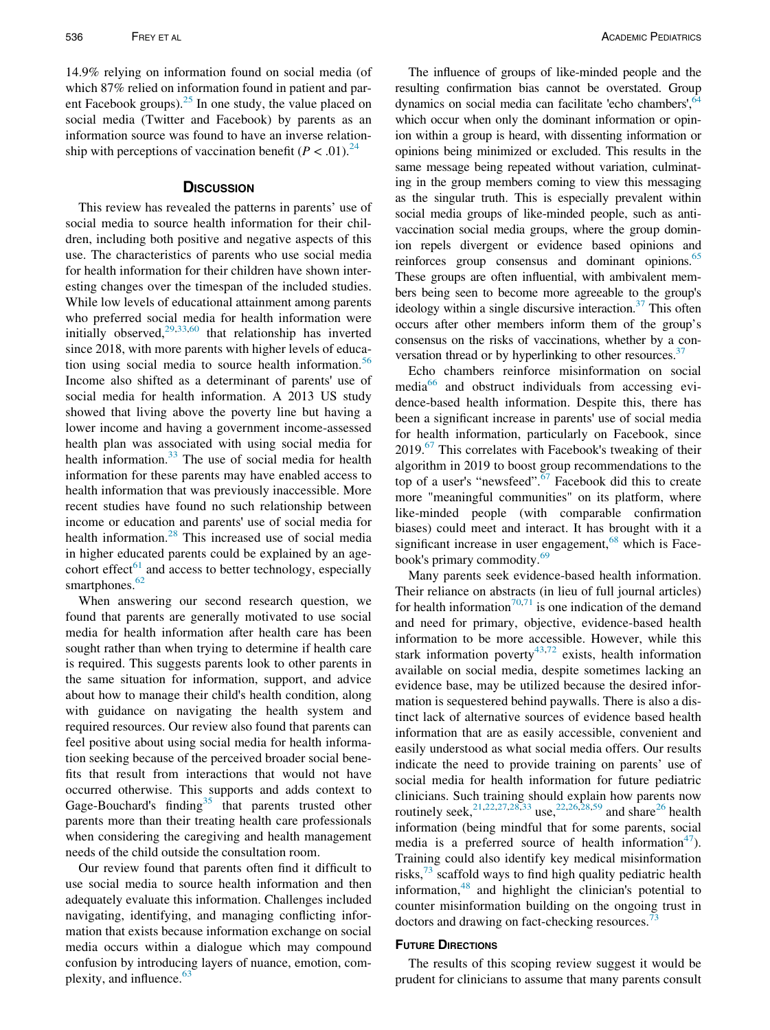14.9% relying on information found on social media (of which 87% relied on information found in patient and parent Facebook groups). $25$  In one study, the value placed on social media (Twitter and Facebook) by parents as an information source was found to have an inverse relationship with perceptions of vaccination benefit  $(P < .01)^{24}$ 

This review has revealed the patterns in parents' use of social media to source health information for their children, including both positive and negative aspects of this use. The characteristics of parents who use social media for health information for their children have shown interesting changes over the timespan of the included studies. While low levels of educational attainment among parents who preferred social media for health information were initially observed, $29,33,60$  $29,33,60$  $29,33,60$  $29,33,60$  that relationship has inverted since 2018, with more parents with higher levels of educa-tion using social media to source health information.<sup>[56](#page-12-40)</sup> Income also shifted as a determinant of parents' use of social media for health information. A 2013 US study showed that living above the poverty line but having a lower income and having a government income-assessed health plan was associated with using social media for health information.<sup>[33](#page-12-70)</sup> The use of social media for health information for these parents may have enabled access to health information that was previously inaccessible. More recent studies have found no such relationship between income or education and parents' use of social media for health information.<sup>[28](#page-12-42)</sup> This increased use of social media in higher educated parents could be explained by an agecohort effect<sup> $61$ </sup> and access to better technology, especially smartphones. $62$ 

When answering our second research question, we found that parents are generally motivated to use social media for health information after health care has been sought rather than when trying to determine if health care is required. This suggests parents look to other parents in the same situation for information, support, and advice about how to manage their child's health condition, along with guidance on navigating the health system and required resources. Our review also found that parents can feel positive about using social media for health information seeking because of the perceived broader social benefits that result from interactions that would not have occurred otherwise. This supports and adds context to Gage-Bouchard's finding<sup>[35](#page-12-39)</sup> that parents trusted other parents more than their treating health care professionals when considering the caregiving and health management needs of the child outside the consultation room.

Our review found that parents often find it difficult to use social media to source health information and then adequately evaluate this information. Challenges included navigating, identifying, and managing conflicting information that exists because information exchange on social media occurs within a dialogue which may compound confusion by introducing layers of nuance, emotion, com-plexity, and influence.<sup>[63](#page-13-10)</sup>

The influence of groups of like-minded people and the resulting confirmation bias cannot be overstated. Group dynamics on social media can facilitate 'echo chambers',<sup>[64](#page-13-11)</sup> which occur when only the dominant information or opinion within a group is heard, with dissenting information or opinions being minimized or excluded. This results in the same message being repeated without variation, culminating in the group members coming to view this messaging as the singular truth. This is especially prevalent within social media groups of like-minded people, such as antivaccination social media groups, where the group dominion repels divergent or evidence based opinions and reinforces group consensus and dominant opinions.<sup>[65](#page-13-12)</sup> These groups are often influential, with ambivalent members being seen to become more agreeable to the group's ideology within a single discursive interaction.<sup>37</sup> This often occurs after other members inform them of the group's consensus on the risks of vaccinations, whether by a conversation thread or by hyperlinking to other resources. $37$ 

Echo chambers reinforce misinformation on social media $66$  and obstruct individuals from accessing evidence-based health information. Despite this, there has been a significant increase in parents' use of social media for health information, particularly on Facebook, since 2019.<sup>[67](#page-13-14)</sup> This correlates with Facebook's tweaking of their algorithm in 2019 to boost group recommendations to the top of a user's "newsfeed".[67](#page-13-14) Facebook did this to create more "meaningful communities" on its platform, where like-minded people (with comparable confirmation biases) could meet and interact. It has brought with it a significant increase in user engagement, $68$  which is Face-book's primary commodity.<sup>[69](#page-13-16)</sup>

Many parents seek evidence-based health information. Their reliance on abstracts (in lieu of full journal articles) for health information<sup>[70,](#page-13-17)[71](#page-13-18)</sup> is one indication of the demand and need for primary, objective, evidence-based health information to be more accessible. However, while this stark information poverty<sup>[43,](#page-12-47)[72](#page-13-19)</sup> exists, health information available on social media, despite sometimes lacking an evidence base, may be utilized because the desired information is sequestered behind paywalls. There is also a distinct lack of alternative sources of evidence based health information that are as easily accessible, convenient and easily understood as what social media offers. Our results indicate the need to provide training on parents' use of social media for health information for future pediatric clinicians. Such training should explain how parents now routinely seek,<sup>[21,](#page-12-38)[22](#page-12-63),[27](#page-12-54)[,28,](#page-12-42)[33](#page-12-70)</sup> use,<sup>22,[26](#page-12-64),28,[59](#page-13-7)</sup> and share<sup>26</sup> health information (being mindful that for some parents, social media is a preferred source of health information<sup>[47](#page-12-49)</sup>). Training could also identify key medical misinformation risks, $^{73}$  $^{73}$  $^{73}$  scaffold ways to find high quality pediatric health information,<sup>[48](#page-12-50)</sup> and highlight the clinician's potential to counter misinformation building on the ongoing trust in doctors and drawing on fact-checking resources.'

The results of this scoping review suggest it would be prudent for clinicians to assume that many parents consult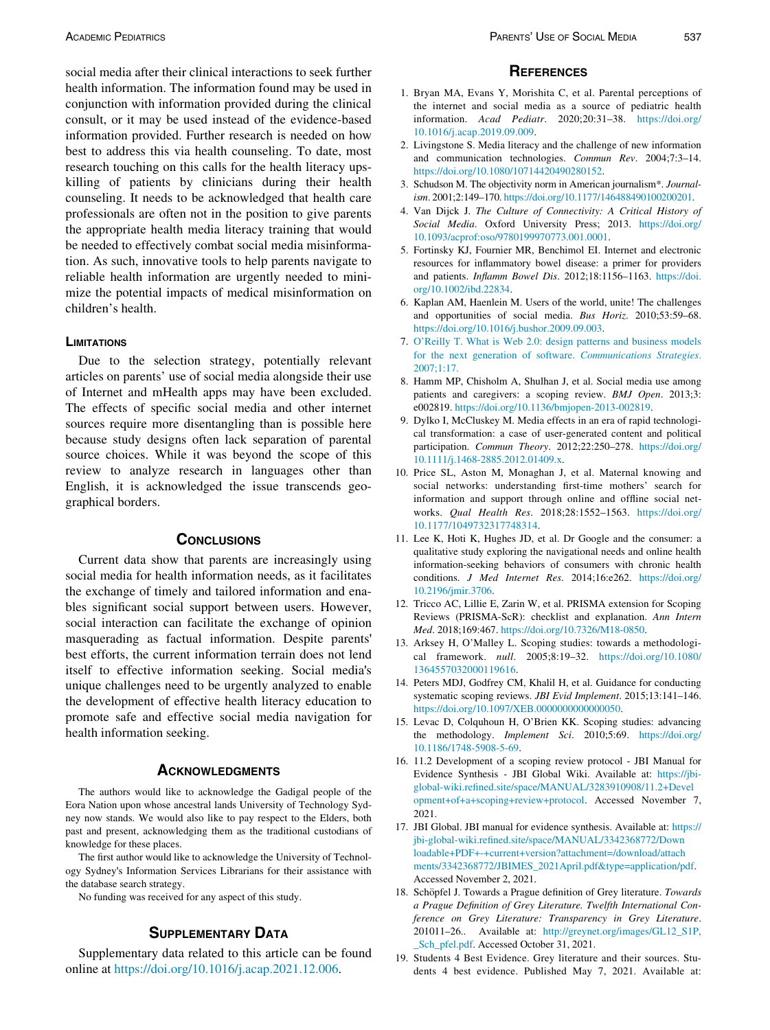<span id="page-11-2"></span><span id="page-11-1"></span><span id="page-11-0"></span>social media after their clinical interactions to seek further health information. The information found may be used in conjunction with information provided during the clinical consult, or it may be used instead of the evidence-based information provided. Further research is needed on how best to address this via health counseling. To date, most research touching on this calls for the health literacy upskilling of patients by clinicians during their health counseling. It needs to be acknowledged that health care professionals are often not in the position to give parents the appropriate health media literacy training that would be needed to effectively combat social media misinformation. As such, innovative tools to help parents navigate to reliable health information are urgently needed to minimize the potential impacts of medical misinformation on children's health.

### <span id="page-11-6"></span><span id="page-11-5"></span><span id="page-11-4"></span><span id="page-11-3"></span>**LIMITATIONS**

<span id="page-11-8"></span><span id="page-11-7"></span>Due to the selection strategy, potentially relevant articles on parents' use of social media alongside their use of Internet and mHealth apps may have been excluded. The effects of specific social media and other internet sources require more disentangling than is possible here because study designs often lack separation of parental source choices. While it was beyond the scope of this review to analyze research in languages other than English, it is acknowledged the issue transcends geographical borders.

<span id="page-11-13"></span><span id="page-11-12"></span><span id="page-11-10"></span><span id="page-11-9"></span>Current data show that parents are increasingly using social media for health information needs, as it facilitates the exchange of timely and tailored information and enables significant social support between users. However, social interaction can facilitate the exchange of opinion masquerading as factual information. Despite parents' best efforts, the current information terrain does not lend itself to effective information seeking. Social media's unique challenges need to be urgently analyzed to enable the development of effective health literacy education to promote safe and effective social media navigation for health information seeking.

<span id="page-11-16"></span><span id="page-11-15"></span><span id="page-11-14"></span>The authors would like to acknowledge the Gadigal people of the Eora Nation upon whose ancestral lands University of Technology Sydney now stands. We would also like to pay respect to the Elders, both past and present, acknowledging them as the traditional custodians of knowledge for these places.

<span id="page-11-18"></span><span id="page-11-17"></span>The first author would like to acknowledge the University of Technology Sydney's Information Services Librarians for their assistance with the database search strategy.

No funding was received for any aspect of this study.

## **SUPPLEMENTARY DATA**

<span id="page-11-19"></span><span id="page-11-11"></span>Supplementary data related to this article can be found online at <https://doi.org/10.1016/j.acap.2021.12.006>.

- <span id="page-11-21"></span><span id="page-11-20"></span>1. Bryan MA, Evans Y, Morishita C, et al. Parental perceptions of the internet and social media as a source of pediatric health information. Acad Pediatr. 2020;20:31–38. [https://doi.org/](https://doi.org/10.1016/j.acap.2019.09.009) [10.1016/j.acap.2019.09.009.](https://doi.org/10.1016/j.acap.2019.09.009)
- 2. Livingstone S. Media literacy and the challenge of new information and communication technologies. Commun Rev. 2004;7:3–14. [https://doi.org/10.1080/10714420490280152.](https://doi.org/10.1080/10714420490280152)
- 3. Schudson M. The objectivity norm in American journalism\*. Journalism. 2001;2:149–170. [https://doi.org/10.1177/146488490100200201.](https://doi.org/10.1177/146488490100200201)
- 4. Van Dijck J. The Culture of Connectivity: A Critical History of Social Media. Oxford University Press; 2013. [https://doi.org/](https://doi.org/10.1093/acprof:oso/9780199970773.001.0001) [10.1093/acprof:oso/9780199970773.001.0001](https://doi.org/10.1093/acprof:oso/9780199970773.001.0001).
- 5. Fortinsky KJ, Fournier MR, Benchimol EI. Internet and electronic resources for inflammatory bowel disease: a primer for providers and patients. Inflamm Bowel Dis. 2012;18:1156–1163. [https://doi.](https://doi.org/10.1002/ibd.22834) [org/10.1002/ibd.22834](https://doi.org/10.1002/ibd.22834).
- 6. Kaplan AM, Haenlein M. Users of the world, unite! The challenges and opportunities of social media. Bus Horiz. 2010;53:59–68. [https://doi.org/10.1016/j.bushor.2009.09.003.](https://doi.org/10.1016/j.bushor.2009.09.003)
- 7. [O](http://refhub.elsevier.com/S1876-2859(21)00621-5/sbref0007)'[Reilly T. What is Web 2.0: design patterns and business models](http://refhub.elsevier.com/S1876-2859(21)00621-5/sbref0007) [for the next generation of software.](http://refhub.elsevier.com/S1876-2859(21)00621-5/sbref0007) Communications Strategies. [2007;1:17.](http://refhub.elsevier.com/S1876-2859(21)00621-5/sbref0007)
- 8. Hamm MP, Chisholm A, Shulhan J, et al. Social media use among patients and caregivers: a scoping review. BMJ Open. 2013;3: e002819. <https://doi.org/10.1136/bmjopen-2013-002819>.
- 9. Dylko I, McCluskey M. Media effects in an era of rapid technological transformation: a case of user-generated content and political participation. Commun Theory. 2012;22:250–278. [https://doi.org/](https://doi.org/10.1111/j.1468-2885.2012.01409.x) [10.1111/j.1468-2885.2012.01409.x](https://doi.org/10.1111/j.1468-2885.2012.01409.x).
- 10. Price SL, Aston M, Monaghan J, et al. Maternal knowing and social networks: understanding first-time mothers' search for information and support through online and offline social networks. Qual Health Res. 2018;28:1552–1563. [https://doi.org/](https://doi.org/10.1177/1049732317748314) [10.1177/1049732317748314.](https://doi.org/10.1177/1049732317748314)
- 11. Lee K, Hoti K, Hughes JD, et al. Dr Google and the consumer: a qualitative study exploring the navigational needs and online health information-seeking behaviors of consumers with chronic health conditions. J Med Internet Res. 2014;16:e262. [https://doi.org/](https://doi.org/10.2196/jmir.3706) [10.2196/jmir.3706.](https://doi.org/10.2196/jmir.3706)
- 12. Tricco AC, Lillie E, Zarin W, et al. PRISMA extension for Scoping Reviews (PRISMA-ScR): checklist and explanation. Ann Intern Med. 2018;169:467. [https://doi.org/10.7326/M18-0850.](https://doi.org/10.7326/M18-0850)
- 13. Arksey H, O'Malley L. Scoping studies: towards a methodological framework. null. 2005;8:19–32. [https://doi.org/10.1080/](https://doi.org/10.1080/1364557032000119616) [1364557032000119616.](https://doi.org/10.1080/1364557032000119616)
- 14. Peters MDJ, Godfrey CM, Khalil H, et al. Guidance for conducting systematic scoping reviews. JBI Evid Implement. 2015;13:141–146. [https://doi.org/10.1097/XEB.0000000000000050.](https://doi.org/10.1097/XEB.0000000000000050)
- 15. Levac D, Colquhoun H, O'Brien KK. Scoping studies: advancing the methodology. Implement Sci. 2010;5:69. [https://doi.org/](https://doi.org/10.1186/1748-5908-5-69) [10.1186/1748-5908-5-69](https://doi.org/10.1186/1748-5908-5-69).
- 16. 11.2 Development of a scoping review protocol JBI Manual for Evidence Synthesis - JBI Global Wiki. Available at: [https://jbi](https://jbi-global-wiki.refined.site/space/MANUAL/3283910908/11.2+Development+of+a+scoping+review+protocol)[global-wiki.refined.site/space/MANUAL/3283910908/11.2+Devel](https://jbi-global-wiki.refined.site/space/MANUAL/3283910908/11.2+Development+of+a+scoping+review+protocol) [opment+of+a+scoping+review+protocol](https://jbi-global-wiki.refined.site/space/MANUAL/3283910908/11.2+Development+of+a+scoping+review+protocol). Accessed November 7, 2021.
- 17. JBI Global. JBI manual for evidence synthesis. Available at: [https://](https://jbi-global-wiki.refined.site/space/MANUAL/3342368772/Downloadable+PDF+-+current+version?attachment=/download/attachments/3342368772/JBIMES_2021April.pdf&type=application/pdf) [jbi-global-wiki.refined.site/space/MANUAL/3342368772/Down](https://jbi-global-wiki.refined.site/space/MANUAL/3342368772/Downloadable+PDF+-+current+version?attachment=/download/attachments/3342368772/JBIMES_2021April.pdf&type=application/pdf) [loadable+PDF+-+current+version?attachment=/download/attach](https://jbi-global-wiki.refined.site/space/MANUAL/3342368772/Downloadable+PDF+-+current+version?attachment=/download/attachments/3342368772/JBIMES_2021April.pdf&type=application/pdf) [ments/3342368772/JBIMES\\_2021April.pdf&type=application/pdf.](https://jbi-global-wiki.refined.site/space/MANUAL/3342368772/Downloadable+PDF+-+current+version?attachment=/download/attachments/3342368772/JBIMES_2021April.pdf&type=application/pdf) Accessed November 2, 2021.
- 18. Schöpfel J. Towards a Prague definition of Grey literature. Towards a Prague Definition of Grey Literature. Twelfth International Conference on Grey Literature: Transparency in Grey Literature. 201011–26.. Available at: [http://greynet.org/images/GL12\\_S1P,](http://greynet.org/images/GL12_S1P,_Sch_pfel.pdf) [\\_Sch\\_pfel.pdf](http://greynet.org/images/GL12_S1P,_Sch_pfel.pdf). Accessed October 31, 2021.
- 19. Students 4 Best Evidence. Grey literature and their sources. Students 4 best evidence. Published May 7, 2021. Available at: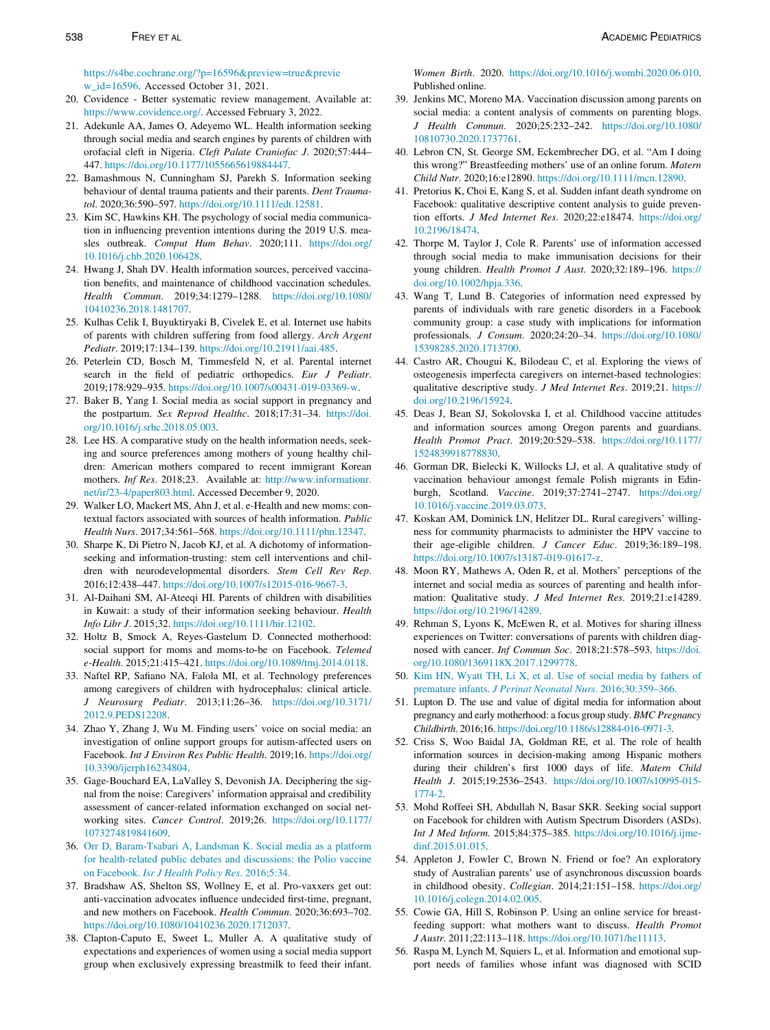<span id="page-12-37"></span><span id="page-12-35"></span><span id="page-12-34"></span><span id="page-12-29"></span><span id="page-12-10"></span><span id="page-12-5"></span><span id="page-12-4"></span>[https://s4be.cochrane.org/?p=16596&preview=true&previe](https://s4be.cochrane.org/?p=16596&preview=true&preview_id=16596) [w\\_id=16596](https://s4be.cochrane.org/?p=16596&preview=true&preview_id=16596). Accessed October 31, 2021.

- <span id="page-12-46"></span><span id="page-12-1"></span>20. Covidence - Better systematic review management. Available at: [https://www.covidence.org/.](https://www.covidence.org/) Accessed February 3, 2022.
- <span id="page-12-69"></span><span id="page-12-38"></span>21. Adekunle AA, James O, Adeyemo WL. Health information seeking through social media and search engines by parents of children with orofacial cleft in Nigeria. Cleft Palate Craniofac J. 2020;57:444– 447. [https://doi.org/10.1177/1055665619884447.](https://doi.org/10.1177/1055665619884447)
- <span id="page-12-72"></span><span id="page-12-63"></span>22. Bamashmous N, Cunningham SJ, Parekh S. Information seeking behaviour of dental trauma patients and their parents. Dent Traumatol. 2020;36:590–597. <https://doi.org/10.1111/edt.12581>.
- <span id="page-12-56"></span><span id="page-12-41"></span>23. Kim SC, Hawkins KH. The psychology of social media communication in influencing prevention intentions during the 2019 U.S. measles outbreak. Comput Hum Behav. 2020;111. [https://doi.org/](https://doi.org/10.1016/j.chb.2020.106428) [10.1016/j.chb.2020.106428.](https://doi.org/10.1016/j.chb.2020.106428)
- <span id="page-12-47"></span><span id="page-12-0"></span>24. Hwang J, Shah DV. Health information sources, perceived vaccination benefits, and maintenance of childhood vaccination schedules. Health Commun. 2019;34:1279–1288. [https://doi.org/10.1080/](https://doi.org/10.1080/10410236.2018.1481707) [10410236.2018.1481707](https://doi.org/10.1080/10410236.2018.1481707).
- <span id="page-12-67"></span>25. Kulhas Celik I, Buyuktiryaki B, Civelek E, et al. Internet use habits of parents with children suffering from food allergy. Arch Argent Pediatr. 2019;17:134–139. [https://doi.org/10.21911/aai.485.](https://doi.org/10.21911/aai.485)
- <span id="page-12-64"></span><span id="page-12-61"></span>26. Peterlein CD, Bosch M, Timmesfeld N, et al. Parental internet search in the field of pediatric orthopedics. Eur J Pediatr. 2019;178:929–935. <https://doi.org/10.1007/s00431-019-03369-w>.
- <span id="page-12-54"></span><span id="page-12-48"></span>27. Baker B, Yang I. Social media as social support in pregnancy and the postpartum. Sex Reprod Healthc. 2018;17:31-34. [https://doi.](https://doi.org/10.1016/j.srhc.2018.05.003) [org/10.1016/j.srhc.2018.05.003](https://doi.org/10.1016/j.srhc.2018.05.003).
- <span id="page-12-68"></span><span id="page-12-42"></span>28. Lee HS. A comparative study on the health information needs, seeking and source preferences among mothers of young healthy children: American mothers compared to recent immigrant Korean mothers. Inf Res. 2018;23. Available at: [http://www.informationr.](http://www.informationr.net/ir/23-4/paper803.html) [net/ir/23-4/paper803.html](http://www.informationr.net/ir/23-4/paper803.html). Accessed December 9, 2020.
- <span id="page-12-49"></span><span id="page-12-43"></span>29. Walker LO, Mackert MS, Ahn J, et al. e-Health and new moms: contextual factors associated with sources of health information. Public Health Nurs. 2017;34:561–568. <https://doi.org/10.1111/phn.12347>.
- <span id="page-12-60"></span><span id="page-12-50"></span>30. Sharpe K, Di Pietro N, Jacob KJ, et al. A dichotomy of informationseeking and information-trusting: stem cell interventions and children with neurodevelopmental disorders. Stem Cell Rev Rep. 2016;12:438–447. <https://doi.org/10.1007/s12015-016-9667-3>.
- <span id="page-12-66"></span>31. Al-Daihani SM, Al-Ateeqi HI. Parents of children with disabilities in Kuwait: a study of their information seeking behaviour. Health Info Libr J. 2015;32. [https://doi.org/10.1111/hir.12102.](https://doi.org/10.1111/hir.12102)
- <span id="page-12-62"></span><span id="page-12-44"></span>32. Holtz B, Smock A, Reyes-Gastelum D. Connected motherhood: social support for moms and moms-to-be on Facebook. Telemed e-Health. 2015;21:415–421. [https://doi.org/10.1089/tmj.2014.0118.](https://doi.org/10.1089/tmj.2014.0118)
- <span id="page-12-70"></span><span id="page-12-57"></span><span id="page-12-51"></span>33. Naftel RP, Safiano NA, Falola MI, et al. Technology preferences among caregivers of children with hydrocephalus: clinical article. J Neurosurg Pediatr. 2013;11:26–36. [https://doi.org/10.3171/](https://doi.org/10.3171/2012.9.PEDS12208) [2012.9.PEDS12208](https://doi.org/10.3171/2012.9.PEDS12208).
- <span id="page-12-71"></span><span id="page-12-52"></span>34. Zhao Y, Zhang J, Wu M. Finding users' voice on social media: an investigation of online support groups for autism-affected users on Facebook. Int J Environ Res Public Health. 2019;16. [https://doi.org/](https://doi.org/10.3390/ijerph16234804) [10.3390/ijerph16234804](https://doi.org/10.3390/ijerph16234804).
- <span id="page-12-53"></span><span id="page-12-39"></span>35. Gage-Bouchard EA, LaValley S, Devonish JA. Deciphering the signal from the noise: Caregivers' information appraisal and credibility assessment of cancer-related information exchanged on social networking sites. Cancer Control. 2019;26. [https://doi.org/10.1177/](https://doi.org/10.1177/1073274819841609) [1073274819841609.](https://doi.org/10.1177/1073274819841609)
- <span id="page-12-65"></span><span id="page-12-58"></span>36. [Orr D, Baram-Tsabari A, Landsman K. Social media as a platform](http://refhub.elsevier.com/S1876-2859(21)00621-5/sbref0036) [for health-related public debates and discussions: the Polio vaccine](http://refhub.elsevier.com/S1876-2859(21)00621-5/sbref0036) on Facebook. [Isr J Health Policy Res](http://refhub.elsevier.com/S1876-2859(21)00621-5/sbref0036). 2016;5:34.
- <span id="page-12-59"></span><span id="page-12-45"></span>37. Bradshaw AS, Shelton SS, Wollney E, et al. Pro-vaxxers get out: anti-vaccination advocates influence undecided first-time, pregnant, and new mothers on Facebook. Health Commun. 2020;36:693–702. [https://doi.org/10.1080/10410236.2020.1712037.](https://doi.org/10.1080/10410236.2020.1712037)
- <span id="page-12-55"></span><span id="page-12-40"></span>38. Clapton-Caputo E, Sweet L, Muller A. A qualitative study of expectations and experiences of women using a social media support group when exclusively expressing breastmilk to feed their infant.

<span id="page-12-36"></span><span id="page-12-33"></span><span id="page-12-31"></span><span id="page-12-30"></span><span id="page-12-28"></span><span id="page-12-27"></span><span id="page-12-26"></span><span id="page-12-25"></span><span id="page-12-24"></span><span id="page-12-23"></span><span id="page-12-22"></span><span id="page-12-21"></span><span id="page-12-20"></span><span id="page-12-19"></span><span id="page-12-18"></span><span id="page-12-17"></span><span id="page-12-16"></span><span id="page-12-14"></span><span id="page-12-13"></span><span id="page-12-12"></span><span id="page-12-11"></span><span id="page-12-9"></span><span id="page-12-8"></span><span id="page-12-7"></span><span id="page-12-6"></span><span id="page-12-3"></span><span id="page-12-2"></span>Women Birth. 2020. [https://doi.org/10.1016/j.wombi.2020.06.010.](https://doi.org/10.1016/j.wombi.2020.06.010) Published online.

- <span id="page-12-32"></span><span id="page-12-15"></span>39. Jenkins MC, Moreno MA. Vaccination discussion among parents on social media: a content analysis of comments on parenting blogs. J Health Commun. 2020;25:232–242. [https://doi.org/10.1080/](https://doi.org/10.1080/10810730.2020.1737761) [10810730.2020.1737761](https://doi.org/10.1080/10810730.2020.1737761).
- 40. Lebron CN, St. George SM, Eckembrecher DG, et al. "Am I doing this wrong?" Breastfeeding mothers' use of an online forum. Matern Child Nutr. 2020;16:e12890. <https://doi.org/10.1111/mcn.12890>.
- 41. Pretorius K, Choi E, Kang S, et al. Sudden infant death syndrome on Facebook: qualitative descriptive content analysis to guide prevention efforts. J Med Internet Res. 2020;22:e18474. [https://doi.org/](https://doi.org/10.2196/18474) [10.2196/18474](https://doi.org/10.2196/18474).
- 42. Thorpe M, Taylor J, Cole R. Parents' use of information accessed through social media to make immunisation decisions for their young children. Health Promot J Aust. 2020;32:189–196. [https://](https://doi.org/10.1002/hpja.336) [doi.org/10.1002/hpja.336](https://doi.org/10.1002/hpja.336).
- 43. Wang T, Lund B. Categories of information need expressed by parents of individuals with rare genetic disorders in a Facebook community group: a case study with implications for information professionals. J Consum. 2020;24:20–34. [https://doi.org/10.1080/](https://doi.org/10.1080/15398285.2020.1713700) [15398285.2020.1713700](https://doi.org/10.1080/15398285.2020.1713700).
- 44. Castro AR, Chougui K, Bilodeau C, et al. Exploring the views of osteogenesis imperfecta caregivers on internet-based technologies: qualitative descriptive study. J Med Internet Res. 2019;21. [https://](https://doi.org/10.2196/15924) [doi.org/10.2196/15924](https://doi.org/10.2196/15924).
- 45. Deas J, Bean SJ, Sokolovska I, et al. Childhood vaccine attitudes and information sources among Oregon parents and guardians. Health Promot Pract. 2019;20:529–538. [https://doi.org/10.1177/](https://doi.org/10.1177/1524839918778830) [1524839918778830](https://doi.org/10.1177/1524839918778830).
- 46. Gorman DR, Bielecki K, Willocks LJ, et al. A qualitative study of vaccination behaviour amongst female Polish migrants in Edinburgh, Scotland. Vaccine. 2019;37:2741–2747. [https://doi.org/](https://doi.org/10.1016/j.vaccine.2019.03.073) [10.1016/j.vaccine.2019.03.073](https://doi.org/10.1016/j.vaccine.2019.03.073).
- 47. Koskan AM, Dominick LN, Helitzer DL. Rural caregivers' willingness for community pharmacists to administer the HPV vaccine to their age-eligible children. J Cancer Educ. 2019;36:189–198. <https://doi.org/10.1007/s13187-019-01617-z>.
- 48. Moon RY, Mathews A, Oden R, et al. Mothers' perceptions of the internet and social media as sources of parenting and health information: Qualitative study. J Med Internet Res. 2019;21:e14289. [https://doi.org/10.2196/14289.](https://doi.org/10.2196/14289)
- 49. Rehman S, Lyons K, McEwen R, et al. Motives for sharing illness experiences on Twitter: conversations of parents with children diagnosed with cancer. Inf Commun Soc. 2018;21:578–593. [https://doi.](https://doi.org/10.1080/1369118X.2017.1299778) [org/10.1080/1369118X.2017.1299778.](https://doi.org/10.1080/1369118X.2017.1299778)
- 50. [Kim HN, Wyatt TH, Li X, et al. Use of social media by fathers of](http://refhub.elsevier.com/S1876-2859(21)00621-5/sbref0050) premature infants. [J Perinat Neonatal Nurs](http://refhub.elsevier.com/S1876-2859(21)00621-5/sbref0050). 2016;30:359–366.
- 51. Lupton D. The use and value of digital media for information about pregnancy and early motherhood: a focus group study. BMC Pregnancy Childbirth. 2016;16. <https://doi.org/10.1186/s12884-016-0971-3>.
- 52. Criss S, Woo Baidal JA, Goldman RE, et al. The role of health information sources in decision-making among Hispanic mothers during their children's first 1000 days of life. Matern Child Health J. 2015;19:2536–2543. [https://doi.org/10.1007/s10995-015-](https://doi.org/10.1007/s10995-015-1774-2) [1774-2](https://doi.org/10.1007/s10995-015-1774-2).
- 53. Mohd Roffeei SH, Abdullah N, Basar SKR. Seeking social support on Facebook for children with Autism Spectrum Disorders (ASDs). Int J Med Inform. 2015;84:375–385. [https://doi.org/10.1016/j.ijme](https://doi.org/10.1016/j.ijmedinf.2015.01.015)[dinf.2015.01.015](https://doi.org/10.1016/j.ijmedinf.2015.01.015).
- 54. Appleton J, Fowler C, Brown N. Friend or foe? An exploratory study of Australian parents' use of asynchronous discussion boards in childhood obesity. Collegian. 2014;21:151–158. [https://doi.org/](https://doi.org/10.1016/j.colegn.2014.02.005) [10.1016/j.colegn.2014.02.005.](https://doi.org/10.1016/j.colegn.2014.02.005)
- 55. Cowie GA, Hill S, Robinson P. Using an online service for breastfeeding support: what mothers want to discuss. Health Promot J Austr. 2011;22:113–118. <https://doi.org/10.1071/he11113>.
- 56. Raspa M, Lynch M, Squiers L, et al. Information and emotional support needs of families whose infant was diagnosed with SCID